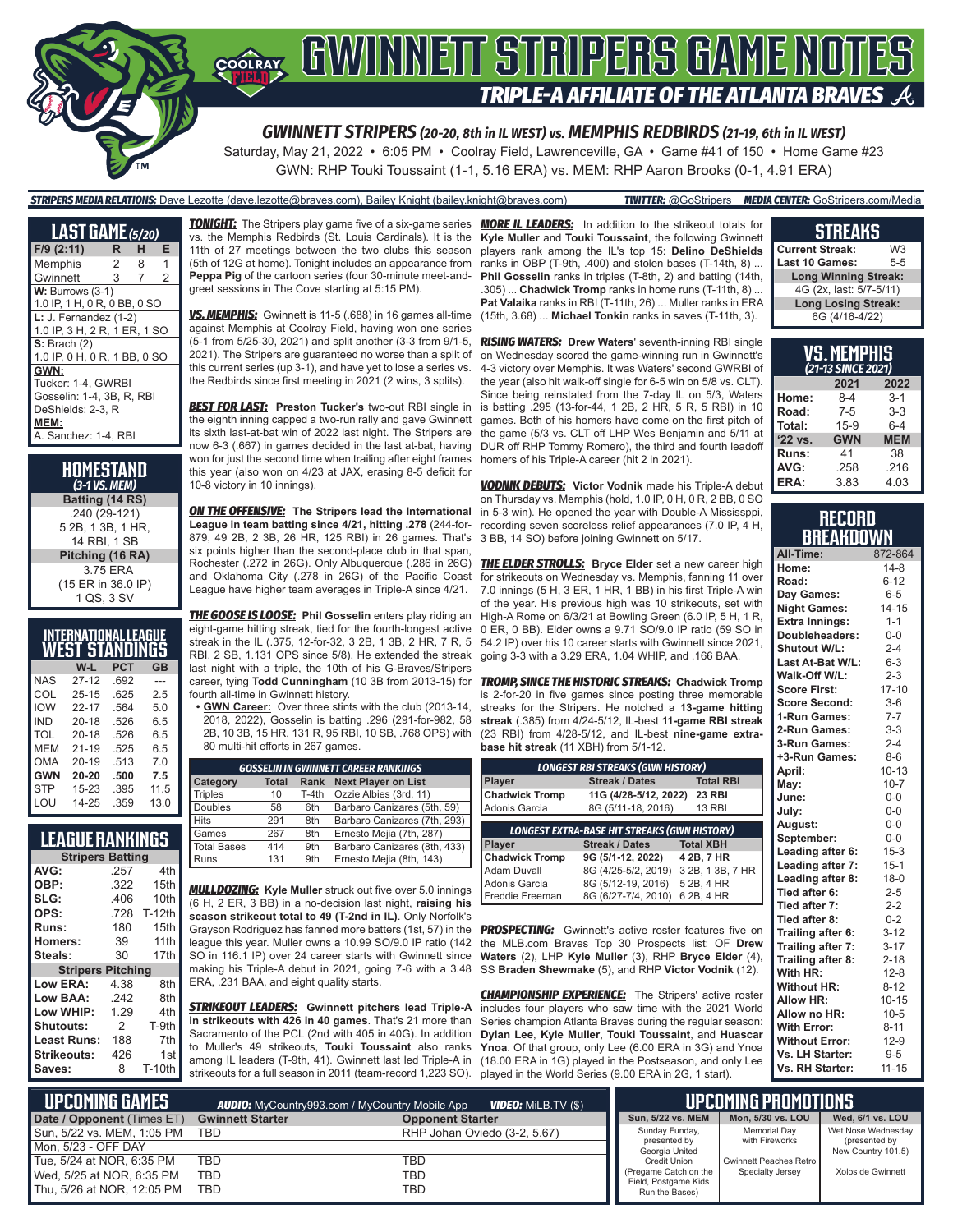

Saturday, May 21, 2022 • 6:05 PM • Coolray Field, Lawrenceville, GA • Game #41 of 150 • Home Game #23 GWN: RHP Touki Toussaint (1-1, 5.16 ERA) vs. MEM: RHP Aaron Brooks (0-1, 4.91 ERA)

#### *STRIPERS MEDIA RELATIONS:* Dave Lezotte (dave.lezotte@braves.com), Bailey Knight (bailey.knight@braves.com) *TWITTER:* @GoStripers *MEDIA CENTER:* GoStripers.com/Media

**LAST GAME** *(5/20)* **F/9 (2:11) R H E** Memphis 2 8 1 Gwinnett 3 7 2 **W: Burrows (3-1)** 1.0 IP, 1 H, 0 R, 0 BB, 0 SO **L:** J. Fernandez (1-2) 1.0 IP, 3 H, 2 R, 1 ER, 1 SO **S:** Brach (2) 1.0 IP, 0 H, 0 R, 1 BB, 0 SO **GWN:** Tucker: 1-4, GWRBI Gosselin: 1-4, 3B, R, RBI DeShields: 2-3, R **MEM:** A. Sanchez: 1-4, RBI

**HOMESTAND** *(3-1 VS. MEM)* **Batting (14 RS)** .240 (29-121) 5 2B, 1 3B, 1 HR, 14 RBI, 1 SB **Pitching (16 RA)** 3.75 ERA (15 ER in 36.0 IP) 1 QS, 3 SV

|            | <b>INTERNATIONAL LEAGUE</b> |      |      |
|------------|-----------------------------|------|------|
|            | WEST STANDINGS              |      |      |
|            | W-L                         | PCT  | GB   |
| <b>NAS</b> | $27 - 12$                   | .692 |      |
| COL        | $25 - 15$                   | .625 | 2.5  |
| <b>IOW</b> | $22 - 17$                   | .564 | 5.0  |
| <b>IND</b> | $20 - 18$                   | .526 | 6.5  |
| <b>TOL</b> | $20 - 18$                   | .526 | 6.5  |
| MEM        | $21 - 19$                   | .525 | 6.5  |
| OMA        | $20 - 19$                   | .513 | 7.0  |
| <b>GWN</b> | $20 - 20$                   | .500 | 7.5  |
| <b>STP</b> | 15-23                       | .395 | 11.5 |
| LOU        | 14-25                       | .359 | 13.0 |

### **LEAGUE RANKINGS**

| <b>Stripers Batting</b>  |               |               |  |  |  |
|--------------------------|---------------|---------------|--|--|--|
| AVG:                     | .257          | 4th           |  |  |  |
| OBP:                     | .322          | 15th          |  |  |  |
| SLG:                     | .406          | 10th          |  |  |  |
| OPS:                     | .728          | <b>T-12th</b> |  |  |  |
| Runs:                    | 180           | 15th          |  |  |  |
| <b>Homers:</b>           | 39            | 11th          |  |  |  |
| Steals:                  | 30            | 17th          |  |  |  |
| <b>Stripers Pitching</b> |               |               |  |  |  |
| Low ERA:                 | 4.38          | 8th           |  |  |  |
| <b>Low BAA:</b>          | .242          | 8th           |  |  |  |
| Low WHIP:                | 1.29          | 4th           |  |  |  |
| <b>Shutouts:</b>         | $\mathcal{P}$ | T-9th         |  |  |  |
| Least Runs:              | 188           | 7th           |  |  |  |
| <b>Strikeouts:</b>       | 426           | 1st           |  |  |  |
| Saves:                   | 8             | <b>T-10th</b> |  |  |  |

*TONIGHT:* The Stripers play game five of a six-game series vs. the Memphis Redbirds (St. Louis Cardinals). It is the 11th of 27 meetings between the two clubs this season (5th of 12G at home). Tonight includes an appearance from **Peppa Pig** of the cartoon series (four 30-minute meet-andgreet sessions in The Cove starting at 5:15 PM).

*VS. MEMPHIS:* Gwinnett is 11-5 (.688) in 16 games all-time against Memphis at Coolray Field, having won one series (5-1 from 5/25-30, 2021) and split another (3-3 from 9/1-5, 2021). The Stripers are guaranteed no worse than a split of this current series (up 3-1), and have yet to lose a series vs. the Redbirds since first meeting in 2021 (2 wins, 3 splits).

*BEST FOR LAST:* **Preston Tucker's** two-out RBI single in the eighth inning capped a two-run rally and gave Gwinnett its sixth last-at-bat win of 2022 last night. The Stripers are now 6-3 (.667) in games decided in the last at-bat, having won for just the second time when trailing after eight frames this year (also won on 4/23 at JAX, erasing 8-5 deficit for 10-8 victory in 10 innings).

*ON THE OFFENSIVE:* **The Stripers lead the International League in team batting since 4/21, hitting .278** (244-for-879, 49 2B, 2 3B, 26 HR, 125 RBI) in 26 games. That's six points higher than the second-place club in that span, Rochester (.272 in 26G). Only Albuquerque (.286 in 26G) and Oklahoma City (.278 in 26G) of the Pacific Coast League have higher team averages in Triple-A since 4/21.

*THE GOOSE IS LOOSE:* **Phil Gosselin** enters play riding an eight-game hitting streak, tied for the fourth-longest active streak in the IL (.375, 12-for-32, 3 2B, 1 3B, 2 HR, 7 R, 5 RBI, 2 SB, 1.131 OPS since 5/8). He extended the streak last night with a triple, the 10th of his G-Braves/Stripers career, tying **Todd Cunningham** (10 3B from 2013-15) for fourth all-time in Gwinnett history.

**• GWN Career:** Over three stints with the club (2013-14, 2018, 2022), Gosselin is batting .296 (291-for-982, 58 2B, 10 3B, 15 HR, 131 R, 95 RBI, 10 SB, .768 OPS) with 80 multi-hit efforts in 267 games.

| <b>GOSSELIN IN GWINNETT CAREER RANKINGS</b> |              |                 |                              |  |  |  |  |
|---------------------------------------------|--------------|-----------------|------------------------------|--|--|--|--|
| Category                                    | <b>Total</b> | Rank            | <b>Next Player on List</b>   |  |  |  |  |
| <b>Triples</b>                              | 10           | T-4th           | Ozzie Albies (3rd, 11)       |  |  |  |  |
| <b>Doubles</b>                              | 58           | 6th             | Barbaro Canizares (5th, 59)  |  |  |  |  |
| <b>Hits</b>                                 | 291          | 8th             | Barbaro Canizares (7th, 293) |  |  |  |  |
| Games                                       | 267          | 8th             | Ernesto Mejia (7th, 287)     |  |  |  |  |
| <b>Total Bases</b>                          | 414          | 9th             | Barbaro Canizares (8th, 433) |  |  |  |  |
| Runs                                        | 131          | 9 <sub>th</sub> | Ernesto Mejia (8th, 143)     |  |  |  |  |

*MULLDOZING:* **Kyle Muller** struck out five over 5.0 innings (6 H, 2 ER, 3 BB) in a no-decision last night, **raising his season strikeout total to 49 (T-2nd in IL)**. Only Norfolk's Grayson Rodriguez has fanned more batters (1st, 57) in the league this year. Muller owns a 10.99 SO/9.0 IP ratio (142 SO in 116.1 IP) over 24 career starts with Gwinnett since making his Triple-A debut in 2021, going 7-6 with a 3.48 ERA, .231 BAA, and eight quality starts.

*STRIKEOUT LEADERS:* **Gwinnett pitchers lead Triple-A in strikeouts with 426 in 40 games**. That's 21 more than Sacramento of the PCL (2nd with 405 in 40G). In addition to Muller's 49 strikeouts, **Touki Toussaint** also ranks among IL leaders (T-9th, 41). Gwinnett last led Triple-A in strikeouts for a full season in 2011 (team-record 1,223 SO).

**MORE IL LEADERS:** In addition to the strikeout totals for **Kyle Muller** and **Touki Toussaint**, the following Gwinnett players rank among the IL's top 15: **Delino DeShields** ranks in OBP (T-9th, .400) and stolen bases (T-14th, 8) ... **Phil Gosselin** ranks in triples (T-8th, 2) and batting (14th, .305) ... **Chadwick Tromp** ranks in home runs (T-11th, 8) ... **Pat Valaika** ranks in RBI (T-11th, 26) ... Muller ranks in ERA (15th, 3.68) ... **Michael Tonkin** ranks in saves (T-11th, 3).

*RISING WATERS:* **Drew Waters**' seventh-inning RBI single on Wednesday scored the game-winning run in Gwinnett's 4-3 victory over Memphis. It was Waters' second GWRBI of the year (also hit walk-off single for 6-5 win on 5/8 vs. CLT). Since being reinstated from the 7-day IL on 5/3, Waters is batting .295 (13-for-44, 1 2B, 2 HR, 5 R, 5 RBI) in 10 games. Both of his homers have come on the first pitch of the game (5/3 vs. CLT off LHP Wes Benjamin and 5/11 at DUR off RHP Tommy Romero), the third and fourth leadoff homers of his Triple-A career (hit 2 in 2021).

*VODNIK DEBUTS:* **Victor Vodnik** made his Triple-A debut on Thursday vs. Memphis (hold, 1.0 IP, 0 H, 0 R, 2 BB, 0 SO in 5-3 win). He opened the year with Double-A Mississppi, recording seven scoreless relief appearances (7.0 IP, 4 H, 3 BB, 14 SO) before joining Gwinnett on 5/17.

**THE ELDER STROLLS:** Bryce Elder set a new career high for strikeouts on Wednesday vs. Memphis, fanning 11 over 7.0 innings (5 H, 3 ER, 1 HR, 1 BB) in his first Triple-A win of the year. His previous high was 10 strikeouts, set with High-A Rome on 6/3/21 at Bowling Green (6.0 IP, 5 H, 1 R, 0 ER, 0 BB). Elder owns a 9.71 SO/9.0 IP ratio (59 SO in 54.2 IP) over his 10 career starts with Gwinnett since 2021, going 3-3 with a 3.29 ERA, 1.04 WHIP, and .166 BAA.

*TROMP, SINCE THE HISTORIC STREAKS:* **Chadwick Tromp** is 2-for-20 in five games since posting three memorable streaks for the Stripers. He notched a **13-game hitting streak** (.385) from 4/24-5/12, IL-best **11-game RBI streak** (23 RBI) from 4/28-5/12, and IL-best **nine-game extrabase hit streak** (11 XBH) from 5/1-12.

| <b>LONGEST RBI STREAKS (GWN HISTORY)</b> |                                                     |                  |  |  |  |  |
|------------------------------------------|-----------------------------------------------------|------------------|--|--|--|--|
| Player                                   | <b>Streak / Dates</b>                               | <b>Total RBI</b> |  |  |  |  |
| <b>Chadwick Tromp</b>                    | 11G (4/28-5/12, 2022)                               | <b>23 RBI</b>    |  |  |  |  |
| Adonis Garcia                            | 8G (5/11-18, 2016)                                  | <b>13 RBI</b>    |  |  |  |  |
|                                          |                                                     |                  |  |  |  |  |
|                                          | <b>LONGEST EXTRA-BASE HIT STREAKS (GWN HISTORY)</b> |                  |  |  |  |  |
| <b>Player</b>                            | <b>Streak / Dates</b>                               | <b>Total XBH</b> |  |  |  |  |
| <b>Chadwick Tromp</b>                    | 9G (5/1-12, 2022)                                   | 4 2B, 7 HR       |  |  |  |  |
| Adam Duvall                              | 8G (4/25-5/2, 2019)                                 | 3 2B, 1 3B, 7 HR |  |  |  |  |
| Adonis Garcia                            | 8G (5/12-19, 2016)                                  | 5 2B, 4 HR       |  |  |  |  |
| Freddie Freeman                          | 8G (6/27-7/4, 2010)                                 | 6 2B, 4 HR       |  |  |  |  |

**PROSPECTING:** Gwinnett's active roster features five on the MLB.com Braves Top 30 Prospects list: OF **Drew Waters** (2), LHP **Kyle Muller** (3), RHP **Bryce Elder** (4), SS **Braden Shewmake** (5), and RHP **Victor Vodnik** (12).

**CHAMPIONSHIP EXPERIENCE:** The Stripers' active roster includes four players who saw time with the 2021 World Series champion Atlanta Braves during the regular season: **Dylan Lee**, **Kyle Muller**, **Touki Toussaint**, and **Huascar Ynoa**. Of that group, only Lee (6.00 ERA in 3G) and Ynoa (18.00 ERA in 1G) played in the Postseason, and only Lee played in the World Series (9.00 ERA in 2G, 1 start).

#### **STREAKS Current Streak:** W3<br>**Last 10 Games:** 5-5 **Last 10 Games: Long Winning Streak:** 4G (2x, last: 5/7-5/11)

| 6G (4/16-4/22) |                    |            |  |  |  |  |  |
|----------------|--------------------|------------|--|--|--|--|--|
|                |                    |            |  |  |  |  |  |
| VS.MEMPHIS     |                    |            |  |  |  |  |  |
|                | (21-13 SINCE 2021) |            |  |  |  |  |  |
|                | 2021               | 2022       |  |  |  |  |  |
| Home:          | 8-4                | $3 - 1$    |  |  |  |  |  |
| Road:          | $7 - 5$            | $3-3$      |  |  |  |  |  |
| Total:         | $15-9$             | $6 - 4$    |  |  |  |  |  |
| '22 vs.        | <b>GWN</b>         | <b>MEM</b> |  |  |  |  |  |
| Runs:          | 41                 | 38         |  |  |  |  |  |
| AVG:           | 258                | 216        |  |  |  |  |  |

**Long Losing Streak:**

| <b>RECORD</b>    |  |
|------------------|--|
| <b>BREAKDOWN</b> |  |

**ERA:** 3.83 4.03

| All-Time:             | 872-864   |
|-----------------------|-----------|
| Home:                 | $14-8$    |
| Road:                 | $6 - 12$  |
| Day Games:            | $6-5$     |
| <b>Night Games:</b>   | $14 - 15$ |
| <b>Extra Innings:</b> | $1 - 1$   |
| Doubleheaders:        | $0 - 0$   |
| <b>Shutout W/L:</b>   | $2 - 4$   |
| Last At-Bat W/L:      | $6 - 3$   |
| Walk-Off W/L:         | $2 - 3$   |
| <b>Score First:</b>   | $17 - 10$ |
| <b>Score Second:</b>  | $3-6$     |
| 1-Run Games:          | $7 - 7$   |
| 2-Run Games:          | $3 - 3$   |
| 3-Run Games:          | $2 - 4$   |
| +3-Run Games:         | $8 - 6$   |
| April:                | $10 - 13$ |
| May:                  | $10 - 7$  |
| June:                 | $0 - 0$   |
| July:                 | $0-0$     |
| August:               | $0-0$     |
| September:            | $0-0$     |
| Leading after 6:      | $15-3$    |
| Leading after 7:      | $15 - 1$  |
| Leading after 8:      | $18-0$    |
| Tied after 6:         | $2 - 5$   |
| Tied after 7:         | $2 - 2$   |
| Tied after 8:         | $0 - 2$   |
| Trailing after 6:     | $3 - 12$  |
| Trailing after 7:     | $3 - 17$  |
| Trailing after 8:     | $2 - 18$  |
| With HR:              | $12 - 8$  |
| <b>Without HR:</b>    | $8 - 12$  |
| Allow HR:             | $10 - 15$ |
| Allow no HR:          | $10 - 5$  |
| <b>With Error:</b>    | $8 - 11$  |
| <b>Without Error:</b> | $12-9$    |
| Vs. LH Starter:       | $9 - 5$   |
| Vs. RH Starter:       | $11 - 15$ |

| I UPCOMIÑG GAMES <sup>1</sup> | <b>AUDIO:</b> MyCountry993.com / MyCountry Mobile App |                              | <b>UPCOMING PROMOTIONS</b> |                                               |                        |                                     |
|-------------------------------|-------------------------------------------------------|------------------------------|----------------------------|-----------------------------------------------|------------------------|-------------------------------------|
| Date / Opponent (Times ET)    | <b>Gwinnett Starter</b>                               | <b>Opponent Starter</b>      |                            | Sun, 5/22 vs. MEM                             | Mon, 5/30 vs. LOU      | Wed, 6/1 vs. LOU                    |
| Sun, 5/22 vs. MEM, 1:05 PM    | TBD                                                   | RHP Johan Oviedo (3-2, 5.67) |                            | Sunday Funday,                                | Memorial Day           | Wet Nose Wednesday                  |
| Mon, 5/23 - OFF DAY           |                                                       |                              |                            | presented by<br>Georgia United                | with Fireworks         | (presented by<br>New Country 101.5) |
| Tue, 5/24 at NOR, 6:35 PM     | TBD                                                   | TBD                          |                            | <b>Credit Union</b>                           | Gwinnett Peaches Retro |                                     |
| Wed, 5/25 at NOR, 6:35 PM     | <b>TBD</b>                                            | TBD                          |                            | (Pregame Catch on the<br>Field, Postgame Kids | Specialty Jersey       | Xolos de Gwinnett                   |
| Thu, 5/26 at NOR, 12:05 PM    | TBD                                                   | TBD                          |                            | Run the Bases)                                |                        |                                     |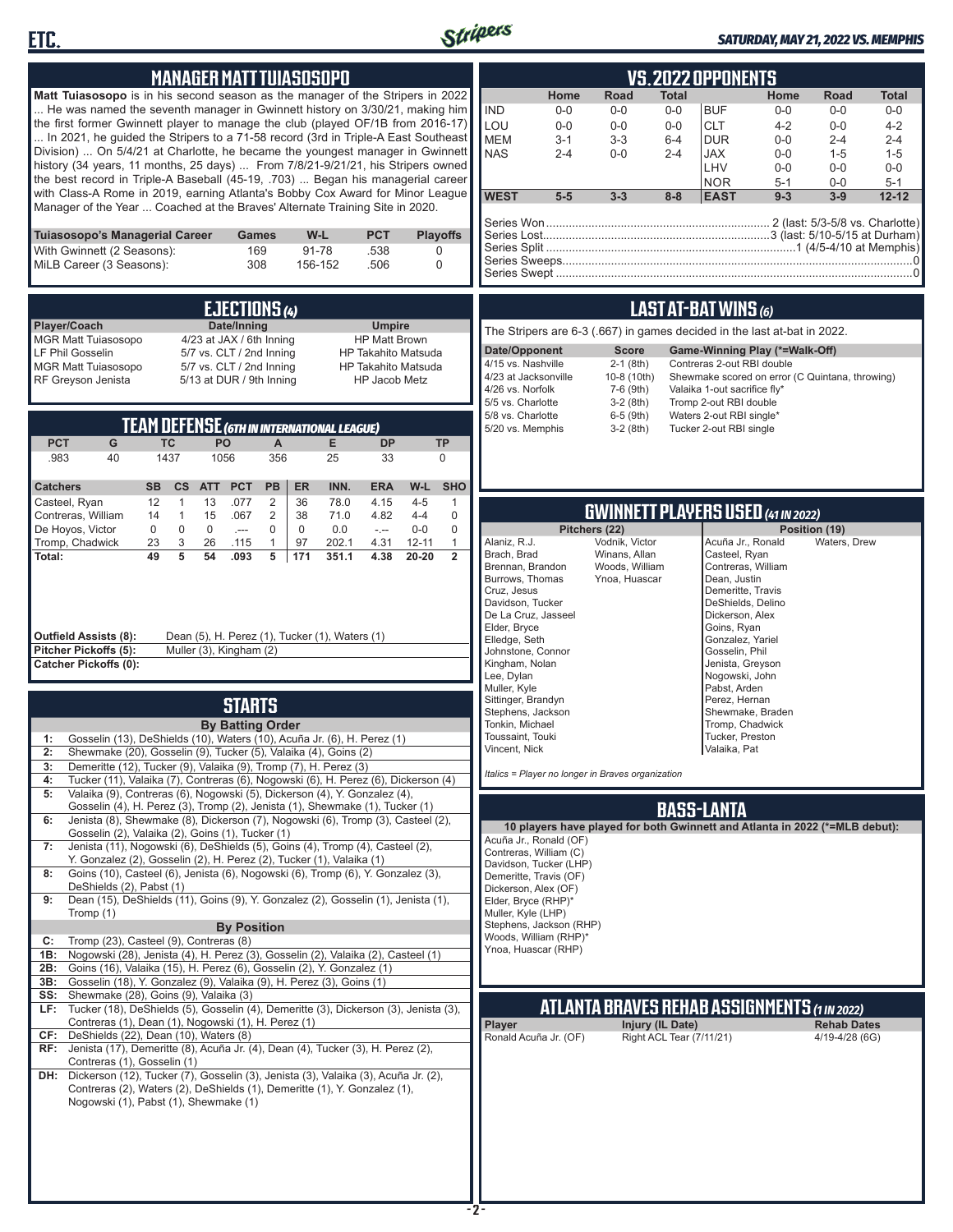



### *SATURDAY, MAY 21, 2022 VS. MEMPHIS*

| <b>MANAGER MATT TUIASOSOPO</b>                                                                                                                                                                                                                                                                                                                                                                                                                                                                                                                                                                                                                                                                                                                                                                                                                                                                                                                                                                                                                                                                                                                                                                                                                                                                                                                                                                                                                                                                                                                                                                                                                                                                                                                                                                                                                                                                                                                                                               | <b>VS.2022 OPPONENTS</b>                                                                                                                                                                                                                                                                                                                                                                                                                                                                                                                                                                                                                                                                                                                                                                                                                                                                                                                                                                                                                                                                                                                                                                                                                                                                                                                  |
|----------------------------------------------------------------------------------------------------------------------------------------------------------------------------------------------------------------------------------------------------------------------------------------------------------------------------------------------------------------------------------------------------------------------------------------------------------------------------------------------------------------------------------------------------------------------------------------------------------------------------------------------------------------------------------------------------------------------------------------------------------------------------------------------------------------------------------------------------------------------------------------------------------------------------------------------------------------------------------------------------------------------------------------------------------------------------------------------------------------------------------------------------------------------------------------------------------------------------------------------------------------------------------------------------------------------------------------------------------------------------------------------------------------------------------------------------------------------------------------------------------------------------------------------------------------------------------------------------------------------------------------------------------------------------------------------------------------------------------------------------------------------------------------------------------------------------------------------------------------------------------------------------------------------------------------------------------------------------------------------|-------------------------------------------------------------------------------------------------------------------------------------------------------------------------------------------------------------------------------------------------------------------------------------------------------------------------------------------------------------------------------------------------------------------------------------------------------------------------------------------------------------------------------------------------------------------------------------------------------------------------------------------------------------------------------------------------------------------------------------------------------------------------------------------------------------------------------------------------------------------------------------------------------------------------------------------------------------------------------------------------------------------------------------------------------------------------------------------------------------------------------------------------------------------------------------------------------------------------------------------------------------------------------------------------------------------------------------------|
| Matt Tuiasosopo is in his second season as the manager of the Stripers in 2022<br>He was named the seventh manager in Gwinnett history on 3/30/21, making him<br>the first former Gwinnett player to manage the club (played OF/1B from 2016-17)<br>In 2021, he quided the Stripers to a 71-58 record (3rd in Triple-A East Southeast<br>Division)  On 5/4/21 at Charlotte, he became the youngest manager in Gwinnett<br>history (34 years, 11 months, 25 days)  From 7/8/21-9/21/21, his Stripers owned<br>the best record in Triple-A Baseball (45-19, .703)  Began his managerial career<br>with Class-A Rome in 2019, earning Atlanta's Bobby Cox Award for Minor League<br>Manager of the Year  Coached at the Braves' Alternate Training Site in 2020.                                                                                                                                                                                                                                                                                                                                                                                                                                                                                                                                                                                                                                                                                                                                                                                                                                                                                                                                                                                                                                                                                                                                                                                                                                | Home<br>Road<br><b>Total</b><br>Home<br>Road<br><b>Total</b><br><b>IND</b><br>$0 - 0$<br><b>BUF</b><br>$0 - 0$<br>$0-0$<br>$0-0$<br>$0-0$<br>$0-0$<br>LOU<br><b>CLT</b><br>$0 - 0$<br>$0-0$<br>$4 - 2$<br>$0 - 0$<br>$0-0$<br>$4 - 2$<br><b>MEM</b><br>$3 - 3$<br><b>DUR</b><br>$0 - 0$<br>$3 - 1$<br>$6 - 4$<br>$2 - 4$<br>$2 - 4$<br><b>NAS</b><br>$2 - 4$<br><b>JAX</b><br>$0-0$<br>$1 - 5$<br>$0-0$<br>$2 - 4$<br>$1 - 5$<br>LHV<br>$0 - 0$<br>$0 - 0$<br>$0-0$<br><b>NOR</b><br>$5 - 1$<br>$0-0$<br>$5 - 1$<br><b>WEST</b><br>$5-5$<br>$9 - 3$<br>$3 - 3$<br>$8 - 8$<br><b>EAST</b><br>$3-9$<br>$12 - 12$                                                                                                                                                                                                                                                                                                                                                                                                                                                                                                                                                                                                                                                                                                                            |
| Tuiasosopo's Managerial Career<br>W-L<br><b>PCT</b><br><b>Playoffs</b><br>Games<br>With Gwinnett (2 Seasons):<br>169<br>91-78<br>.538<br>$\Omega$<br>MiLB Career (3 Seasons):<br>308<br>156-152<br>.506<br>$\Omega$                                                                                                                                                                                                                                                                                                                                                                                                                                                                                                                                                                                                                                                                                                                                                                                                                                                                                                                                                                                                                                                                                                                                                                                                                                                                                                                                                                                                                                                                                                                                                                                                                                                                                                                                                                          |                                                                                                                                                                                                                                                                                                                                                                                                                                                                                                                                                                                                                                                                                                                                                                                                                                                                                                                                                                                                                                                                                                                                                                                                                                                                                                                                           |
| EJECTIONS (4)<br>Player/Coach<br>Date/Inning<br><b>Umpire</b><br>4/23 at JAX / 6th Inning<br><b>MGR Matt Tuiasosopo</b><br><b>HP Matt Brown</b><br>LF Phil Gosselin<br>5/7 vs. CLT / 2nd Inning<br><b>HP Takahito Matsuda</b><br>5/7 vs. CLT / 2nd Inning<br><b>MGR Matt Tuiasosopo</b><br><b>HP Takahito Matsuda</b><br>RF Greyson Jenista<br>5/13 at DUR / 9th Inning<br>HP Jacob Metz<br><b>TEAM DEFENSE (GTH IN INTERNATIONAL LEAGUE)</b><br><b>PCT</b><br>G<br><b>TC</b><br>PO<br>E.<br>$\mathsf{A}$<br><b>DP</b><br><b>TP</b><br>356<br>.983<br>40<br>1437<br>1056<br>25<br>33<br>$\mathbf 0$<br><b>SHO</b><br><b>PB</b><br>INN.<br>W-L<br><b>Catchers</b><br><b>SB</b><br>$\mathsf{cs}$<br><b>ATT</b><br><b>PCT</b><br>ER<br><b>ERA</b><br>Casteel, Ryan<br>12<br>$\mathbf{1}$<br>13<br>.077<br>2<br>36<br>78.0<br>$4 - 5$<br>4.15<br>$\mathbf{1}$<br>$\mathbf{1}$<br>15<br>.067<br>2<br>38<br>71.0<br>4.82<br>$4 - 4$<br>0<br>Contreras, William<br>14<br>$\mathbf 0$<br>$\mathsf 0$<br>De Hoyos, Victor<br>$\mathbf 0$<br>$\mathbf 0$<br>$\mathbf 0$<br>$\mathbf 0$<br>0.0<br>$0-0$<br>$\sim$<br>$\sim$<br>$\ensuremath{\mathsf{3}}$<br>Tromp, Chadwick<br>23<br>26<br>97<br>4.31<br>$12 - 11$<br>$\mathbf{1}$<br>.115<br>$\mathbf{1}$<br>202.1<br>49<br>5<br>54<br>.093<br>5<br>171<br>351.1<br>4.38<br>$20 - 20$<br>$\overline{2}$<br>Total:<br>Outfield Assists (8):<br>Dean (5), H. Perez (1), Tucker (1), Waters (1)<br>Pitcher Pickoffs (5):<br>Muller (3), Kingham (2)<br><b>Catcher Pickoffs (0):</b><br><b>STARTS</b>                                                                                                                                                                                                                                                                                                                                                                                                                                                      | LAST AT-BAT WINS (6)<br>The Stripers are 6-3 (.667) in games decided in the last at-bat in 2022.<br>Date/Opponent<br><b>Score</b><br>Game-Winning Play (*=Walk-Off)<br>4/15 vs. Nashville<br>$2-1$ (8th)<br>Contreras 2-out RBI double<br>4/23 at Jacksonville<br>10-8 (10th)<br>Shewmake scored on error (C Quintana, throwing)<br>4/26 vs. Norfolk<br>7-6 (9th)<br>Valaika 1-out sacrifice fly*<br>5/5 vs. Charlotte<br>$3-2(8th)$<br>Tromp 2-out RBI double<br>5/8 vs. Charlotte<br>6-5 (9th)<br>Waters 2-out RBI single*<br>5/20 vs. Memphis<br>$3-2$ (8th)<br>Tucker 2-out RBI single<br><b>GWINNETT PLAYERS USED (41 IN 2022)</b><br>Pitchers (22)<br>Position (19)<br>Alaniz, R.J.<br>Vodnik, Victor<br>Acuña Jr., Ronald<br>Waters, Drew<br>Brach, Brad<br>Winans, Allan<br>Casteel, Ryan<br>Contreras, William<br>Brennan, Brandon<br>Woods, William<br>Burrows, Thomas<br>Dean, Justin<br>Ynoa, Huascar<br>Cruz, Jesus<br>Demeritte, Travis<br>Davidson, Tucker<br>DeShields, Delino<br>De La Cruz, Jasseel<br>Dickerson, Alex<br>Elder, Bryce<br>Goins, Ryan<br>Elledge, Seth<br>Gonzalez, Yariel<br>Johnstone, Connor<br>Gosselin, Phil<br>Kingham, Nolan<br>Jenista, Greyson<br>Lee, Dylan<br>Nogowski, John<br>Muller, Kyle<br>Pabst, Arden<br>Sittinger, Brandyn<br>Perez, Hernan<br>Stephens, Jackson<br>Shewmake, Braden |
| <b>By Batting Order</b><br>Gosselin (13), DeShields (10), Waters (10), Acuña Jr. (6), H. Perez (1)<br>1:<br>Shewmake (20), Gosselin (9), Tucker (5), Valaika (4), Goins (2)<br>Demeritte (12), Tucker (9), Valaika (9), Tromp (7), H. Perez (3)<br>3:<br>Tucker (11), Valaika (7), Contreras (6), Nogowski (6), H. Perez (6), Dickerson (4)<br>4:<br>Valaika (9), Contreras (6), Nogowski (5), Dickerson (4), Y. Gonzalez (4),<br>5:<br>Gosselin (4), H. Perez (3), Tromp (2), Jenista (1), Shewmake (1), Tucker (1)<br>Jenista (8), Shewmake (8), Dickerson (7), Nogowski (6), Tromp (3), Casteel (2),<br>6:<br>Gosselin (2), Valaika (2), Goins (1), Tucker (1)<br>Jenista (11), Nogowski (6), DeShields (5), Goins (4), Tromp (4), Casteel (2),<br>7:<br>Y. Gonzalez (2), Gosselin (2), H. Perez (2), Tucker (1), Valaika (1)<br>Goins (10), Casteel (6), Jenista (6), Nogowski (6), Tromp (6), Y. Gonzalez (3),<br>8:<br>DeShields (2), Pabst (1)<br>Dean (15), DeShields (11), Goins (9), Y. Gonzalez (2), Gosselin (1), Jenista (1),<br>9:<br>Tromp (1)<br><b>By Position</b><br>Tromp (23), Casteel (9), Contreras (8)<br>C:<br>Nogowski (28), Jenista (4), H. Perez (3), Gosselin (2), Valaika (2), Casteel (1)<br>1B:<br>Goins (16), Valaika (15), H. Perez (6), Gosselin (2), Y. Gonzalez (1)<br>2B:<br>Gosselin (18), Y. Gonzalez (9), Valaika (9), H. Perez (3), Goins (1)<br>3B:<br>Shewmake (28), Goins (9), Valaika (3)<br>SS:<br>Tucker (18), DeShields (5), Gosselin (4), Demeritte (3), Dickerson (3), Jenista (3),<br>LF:<br>Contreras (1), Dean (1), Nogowski (1), H. Perez (1)<br>DeShields (22), Dean (10), Waters (8)<br>CF:<br>Jenista (17), Demeritte (8), Acuña Jr. (4), Dean (4), Tucker (3), H. Perez (2),<br>RF:<br>Contreras (1), Gosselin (1)<br>DH: Dickerson (12), Tucker (7), Gosselin (3), Jenista (3), Valaika (3), Acuña Jr. (2),<br>Contreras (2), Waters (2), DeShields (1), Demeritte (1), Y. Gonzalez (1),<br>Nogowski (1), Pabst (1), Shewmake (1) | Tonkin, Michael<br>Tromp, Chadwick<br>Toussaint, Touki<br>Tucker, Preston<br>Vincent, Nick<br>Valaika, Pat<br>Italics = Player no longer in Braves organization<br><b>BASS-LANTA</b><br>10 players have played for both Gwinnett and Atlanta in 2022 (*=MLB debut):<br>Acuña Jr., Ronald (OF)<br>Contreras, William (C)<br>Davidson, Tucker (LHP)<br>Demeritte, Travis (OF)<br>Dickerson, Alex (OF)<br>Elder, Bryce (RHP)*<br>Muller, Kyle (LHP)<br>Stephens, Jackson (RHP)<br>Woods, William (RHP)*<br>Ynoa, Huascar (RHP)<br><b>ATLANTA BRAVES REHAB ASSIGNMENTS (1 IN 2022)</b><br>Player<br>Injury (IL Date)<br><b>Rehab Dates</b><br>Right ACL Tear (7/11/21)<br>Ronald Acuña Jr. (OF)<br>4/19-4/28 (6G)                                                                                                                                                                                                                                                                                                                                                                                                                                                                                                                                                                                                                             |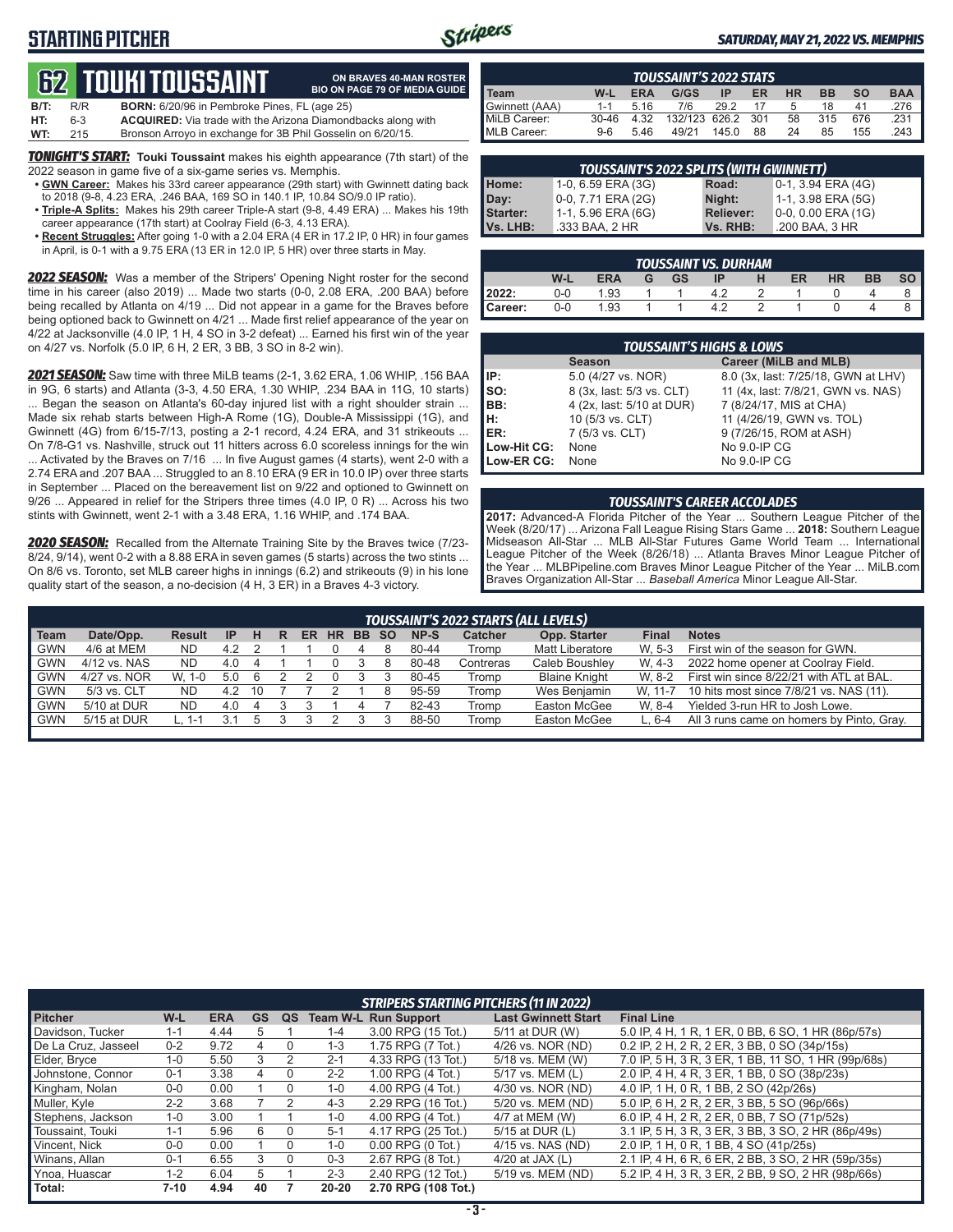## **STARTING PITCHER**



**ON BRAVES 40-MAN ROSTER**

#### *SATURDAY, MAY 21, 2022 VS. MEMPHIS*

# **62****TOUKI TOUSSAINT**

|         |     | <u>Lus Tuunii Tuuuunii </u>                                         | <b>BIO ON PAGE 79 OF MEDIA GUIDE</b> |
|---------|-----|---------------------------------------------------------------------|--------------------------------------|
| $B/T$ : | R/R | <b>BORN:</b> 6/20/96 in Pembroke Pines, FL (age 25)                 |                                      |
| HT:     | 6-3 | <b>ACQUIRED:</b> Via trade with the Arizona Diamondbacks along with |                                      |
| WT:     | 215 | Bronson Arroyo in exchange for 3B Phil Gosselin on 6/20/15.         |                                      |

*TONIGHT'S START:* **Touki Toussaint** makes his eighth appearance (7th start) of the 2022 season in game five of a six-game series vs. Memphis.

- **• GWN Career:** Makes his 33rd career appearance (29th start) with Gwinnett dating back to 2018 (9-8, 4.23 ERA, .246 BAA, 169 SO in 140.1 IP, 10.84 SO/9.0 IP ratio).
- **• Triple-A Splits:** Makes his 29th career Triple-A start (9-8, 4.49 ERA) ... Makes his 19th career appearance (17th start) at Coolray Field (6-3, 4.13 ERA).
- **• Recent Struggles:** After going 1-0 with a 2.04 ERA (4 ER in 17.2 IP, 0 HR) in four games in April, is 0-1 with a 9.75 ERA (13 ER in 12.0 IP, 5 HR) over three starts in May.

*2022 SEASON:* Was a member of the Stripers' Opening Night roster for the second time in his career (also 2019) ... Made two starts (0-0, 2.08 ERA, .200 BAA) before being recalled by Atlanta on 4/19 ... Did not appear in a game for the Braves before being optioned back to Gwinnett on 4/21 ... Made first relief appearance of the year on 4/22 at Jacksonville (4.0 IP, 1 H, 4 SO in 3-2 defeat) ... Earned his first win of the year on 4/27 vs. Norfolk (5.0 IP, 6 H, 2 ER, 3 BB, 3 SO in 8-2 win).

*2021 SEASON:* Saw time with three MiLB teams (2-1, 3.62 ERA, 1.06 WHIP, .156 BAA in 9G, 6 starts) and Atlanta (3-3, 4.50 ERA, 1.30 WHIP, .234 BAA in 11G, 10 starts) ... Began the season on Atlanta's 60-day injured list with a right shoulder strain ... Made six rehab starts between High-A Rome (1G), Double-A Mississippi (1G), and Gwinnett (4G) from 6/15-7/13, posting a 2-1 record, 4.24 ERA, and 31 strikeouts ... On 7/8-G1 vs. Nashville, struck out 11 hitters across 6.0 scoreless innings for the win ... Activated by the Braves on 7/16 ... In five August games (4 starts), went 2-0 with a 2.74 ERA and .207 BAA ... Struggled to an 8.10 ERA (9 ER in 10.0 IP) over three starts in September ... Placed on the bereavement list on 9/22 and optioned to Gwinnett on 9/26 ... Appeared in relief for the Stripers three times (4.0 IP, 0 R) ... Across his two stints with Gwinnett, went 2-1 with a 3.48 ERA, 1.16 WHIP, and .174 BAA.

*2020 SEASON:* Recalled from the Alternate Training Site by the Braves twice (7/23- 8/24, 9/14), went 0-2 with a 8.88 ERA in seven games (5 starts) across the two stints ... On 8/6 vs. Toronto, set MLB career highs in innings (6.2) and strikeouts (9) in his lone quality start of the season, a no-decision (4 H, 3 ER) in a Braves 4-3 victory.

| <b>TOUSSAINT'S 2022 STATS</b> |           |            |                   |       |    |           |           |           |            |
|-------------------------------|-----------|------------|-------------------|-------|----|-----------|-----------|-----------|------------|
| Team                          | W-L       | <b>ERA</b> | G/GS              | IP    | ER | <b>HR</b> | <b>BB</b> | <b>SO</b> | <b>BAA</b> |
| Gwinnett (AAA)                | $1 - 1$   | 5.16       | 7/6               | 29.2  | 17 | 5         | 18        | 41        | 276        |
| MiLB Career:                  | $30 - 46$ | 4.32       | 132/123 626.2 301 |       |    | 58        | 315       | 676       | .231       |
| MLB Career:                   | $9-6$     | 546        | 49/21             | 145.0 | 88 | 24        | 85        | 155       | 243        |

| <b>TOUSSAINT'S 2022 SPLITS (WITH GWINNETT)</b> |                     |                  |                           |  |  |  |
|------------------------------------------------|---------------------|------------------|---------------------------|--|--|--|
| Home:                                          | 1-0, 6.59 ERA (3G)  | Road:            | 0-1, 3.94 ERA (4G)        |  |  |  |
| Day:                                           | 10-0, 7.71 ERA (2G) | Night:           | 1-1, 3.98 ERA (5G)        |  |  |  |
| Starter:                                       | 1-1, 5.96 ERA (6G)  | <b>Reliever:</b> | $0-0$ , $0.00$ ERA $(1G)$ |  |  |  |
| Vs. LHB:                                       | .333 BAA, 2 HR      | Vs. RHB:         | .200 BAA, 3 HR            |  |  |  |

| <b>TOUSSAINT VS. DURHAM</b> |       |      |   |           |    |   |    |           |           |  |
|-----------------------------|-------|------|---|-----------|----|---|----|-----------|-----------|--|
|                             | W-L   | ERA  | G | <b>GS</b> | ΙP | н | ER | <b>HR</b> | <b>BB</b> |  |
| 2022:                       | $0-0$ | 1.93 |   |           |    |   |    |           |           |  |
| Career:                     | $0-0$ | 1.93 |   |           |    |   |    |           |           |  |

|                          | <b>TOUSSAINT'S HIGHS &amp; LOWS</b> |                                     |  |  |  |  |  |  |  |  |  |
|--------------------------|-------------------------------------|-------------------------------------|--|--|--|--|--|--|--|--|--|
|                          | <b>Season</b>                       | Career (MiLB and MLB)               |  |  |  |  |  |  |  |  |  |
| IP:                      | 5.0 (4/27 vs. NOR)                  | 8.0 (3x, last: 7/25/18, GWN at LHV) |  |  |  |  |  |  |  |  |  |
| $\overline{\mathsf{so}}$ | 8 (3x, last: 5/3 vs. CLT)           | 11 (4x, last: 7/8/21, GWN vs. NAS)  |  |  |  |  |  |  |  |  |  |
| BB:                      | 4 (2x, last: 5/10 at DUR)           | 7 (8/24/17, MIS at CHA)             |  |  |  |  |  |  |  |  |  |
| H:<br>ER:                | 10 (5/3 vs. CLT)                    | 11 (4/26/19, GWN vs. TOL)           |  |  |  |  |  |  |  |  |  |
|                          | 7 (5/3 vs. CLT)                     | 9 (7/26/15, ROM at ASH)             |  |  |  |  |  |  |  |  |  |
| Low-Hit CG:              | None                                | No 9.0-IP CG                        |  |  |  |  |  |  |  |  |  |
| Low-ER CG:               | None                                | No 9.0-IP CG                        |  |  |  |  |  |  |  |  |  |

#### *TOUSSAINT'S CAREER ACCOLADES*

**2017:** Advanced-A Florida Pitcher of the Year ... Southern League Pitcher of the Week (8/20/17) ... Arizona Fall League Rising Stars Game ... **2018:** Southern League Midseason All-Star ... MLB All-Star Futures Game World Team ... International League Pitcher of the Week (8/26/18) ... Atlanta Braves Minor League Pitcher of the Year ... MLBPipeline.com Braves Minor League Pitcher of the Year ... MiLB.com Braves Organization All-Star ... *Baseball America* Minor League All-Star.

|            | TOUSSAINT'S 2022 STARTS (ALL LEVELS) |               |     |    |   |    |           |           |     |       |                |                      |         |                                           |
|------------|--------------------------------------|---------------|-----|----|---|----|-----------|-----------|-----|-------|----------------|----------------------|---------|-------------------------------------------|
| Team       | Date/Opp.                            | <b>Result</b> | -IP |    | R | ER | <b>HR</b> | <b>BB</b> | -SO | NP-S  | <b>Catcher</b> | Opp. Starter         | Final   | <b>Notes</b>                              |
| <b>GWN</b> | 4/6 at MEM                           | <b>ND</b>     | 4.2 |    |   |    |           |           |     | 80-44 | Tromp          | Matt Liberatore      | W. 5-3  | First win of the season for GWN.          |
| <b>GWN</b> | 4/12 vs. NAS                         | ND.           | 4.0 |    |   |    |           |           |     | 80-48 | Contreras      | Caleb Boushley       | W. 4-3  | 2022 home opener at Coolray Field.        |
| <b>GWN</b> | 4/27 vs. NOR                         | W.<br>1-0     | 5.0 |    |   |    |           |           |     | 80-45 | Tromp          | <b>Blaine Knight</b> | W. 8-2  | First win since 8/22/21 with ATL at BAL.  |
| <b>GWN</b> | 5/3 vs. CLT                          | <b>ND</b>     | 4.2 | 10 |   |    |           |           |     | 95-59 | Tromp          | Wes Benjamin         | W. 11-7 | 10 hits most since 7/8/21 vs. NAS (11).   |
| <b>GWN</b> | 5/10 at DUR                          | ND.           | 4.0 |    |   |    |           |           |     | 82-43 | Tromp          | Easton McGee         | W. 8-4  | Yielded 3-run HR to Josh Lowe.            |
| GWN        | 5/15 at DUR                          |               |     |    |   |    |           |           |     | 88-50 | Tromp          | Easton McGee         | L. 6-4  | All 3 runs came on homers by Pinto. Gray. |
|            |                                      |               |     |    |   |    |           |           |     |       |                |                      |         |                                           |

|                     | <b>STRIPERS STARTING PITCHERS (11 IN 2022)</b> |            |    |    |         |                             |                            |                                                     |  |  |
|---------------------|------------------------------------------------|------------|----|----|---------|-----------------------------|----------------------------|-----------------------------------------------------|--|--|
| <b>Pitcher</b>      | W-L                                            | <b>ERA</b> | GS | QS |         | <b>Team W-L Run Support</b> | <b>Last Gwinnett Start</b> | <b>Final Line</b>                                   |  |  |
| Davidson, Tucker    | $1 - 1$                                        | 4.44       |    |    | $1 - 4$ | 3.00 RPG (15 Tot.)          | 5/11 at DUR (W)            | 5.0 IP, 4 H, 1 R, 1 ER, 0 BB, 6 SO, 1 HR (86p/57s)  |  |  |
| De La Cruz, Jasseel | $0 - 2$                                        | 9.72       | 4  |    | $1 - 3$ | 1.75 RPG (7 Tot.)           | 4/26 vs. NOR (ND)          | 0.2 IP, 2 H, 2 R, 2 ER, 3 BB, 0 SO (34p/15s)        |  |  |
| Elder, Bryce        | $1 - 0$                                        | 5.50       | 3  | 2  | $2 - 1$ | 4.33 RPG (13 Tot.)          | 5/18 vs. MEM (W)           | 7.0 IP, 5 H, 3 R, 3 ER, 1 BB, 11 SO, 1 HR (99p/68s) |  |  |
| Johnstone, Connor   | $0 - 1$                                        | 3.38       |    |    | $2 - 2$ | 1.00 RPG (4 Tot.)           | 5/17 vs. MEM (L)           | 2.0 IP, 4 H, 4 R, 3 ER, 1 BB, 0 SO (38p/23s)        |  |  |
| Kingham, Nolan      | $0-0$                                          | 0.00       |    |    | $1 - 0$ | 4.00 RPG (4 Tot.)           | 4/30 vs. NOR (ND)          | 4.0 IP, 1 H, 0 R, 1 BB, 2 SO (42p/26s)              |  |  |
| Muller, Kyle        | $2 - 2$                                        | 3.68       |    |    | $4 - 3$ | 2.29 RPG (16 Tot.)          | 5/20 vs. MEM (ND)          | 5.0 IP, 6 H, 2 R, 2 ER, 3 BB, 5 SO (96p/66s)        |  |  |
| Stephens, Jackson   | $1-0$                                          | 3.00       |    |    | $1 - 0$ | 4.00 RPG (4 Tot.)           | 4/7 at MEM (W)             | 6.0 IP, 4 H, 2 R, 2 ER, 0 BB, 7 SO (71p/52s)        |  |  |
| Toussaint, Touki    | $1 - 1$                                        | 5.96       | 6  |    | $5 - 1$ | 4.17 RPG (25 Tot.)          | 5/15 at DUR (L)            | 3.1 IP, 5 H, 3 R, 3 ER, 3 BB, 3 SO, 2 HR (86p/49s)  |  |  |
| Vincent, Nick       | $0 - 0$                                        | 0.00       |    |    | $1 - 0$ | $0.00$ RPG $(0$ Tot.)       | 4/15 vs. NAS (ND)          | 2.0 IP. 1 H. 0 R. 1 BB. 4 SO (41p/25s)              |  |  |
| Winans, Allan       | $0 - 1$                                        | 6.55       | 3  |    | $0 - 3$ | 2.67 RPG (8 Tot.)           | 4/20 at JAX $(L)$          | 2.1 IP, 4 H, 6 R, 6 ER, 2 BB, 3 SO, 2 HR (59p/35s)  |  |  |
| Ynoa, Huascar       | $1 - 2$                                        | 6.04       | 5  |    | $2 - 3$ | 2.40 RPG (12 Tot.)          | 5/19 vs. MEM (ND)          | 5.2 IP, 4 H, 3 R, 3 ER, 2 BB, 9 SO, 2 HR (98p/66s)  |  |  |
| Total:              | 7-10                                           | 4.94       | 40 |    | 20-20   | 2.70 RPG (108 Tot.)         |                            |                                                     |  |  |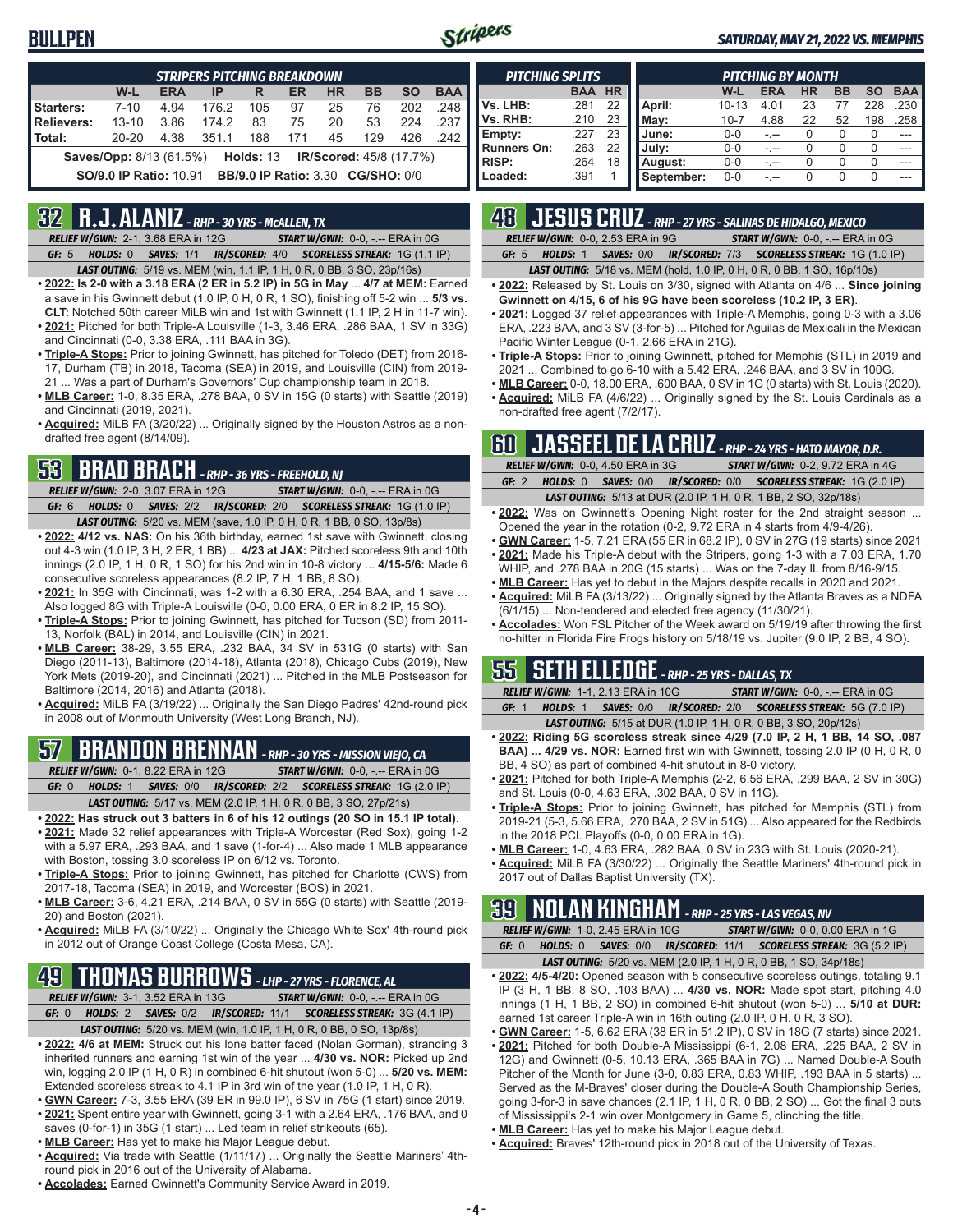### **BULLPEN**



#### *SATURDAY, MAY 21, 2022 VS. MEMPHIS*

| <b>STRIPERS PITCHING BREAKDOWN</b>                                                   |                                                                           |            |       |     |     |           |           |           |            |
|--------------------------------------------------------------------------------------|---------------------------------------------------------------------------|------------|-------|-----|-----|-----------|-----------|-----------|------------|
|                                                                                      | W-L                                                                       | <b>ERA</b> | IP    | R   | ER  | <b>HR</b> | <b>BB</b> | <b>SO</b> | <b>BAA</b> |
| Starters:                                                                            | $7 - 10$                                                                  | 4.94       | 176.2 | 105 | 97  | 25        | 76        | 202       | 248        |
| Relievers:                                                                           | $13 - 10$                                                                 | 3.86       | 174.2 | 83  | 75  | 20        | 53        | 224       | .237       |
| Total:                                                                               | $20 - 20$                                                                 | 4.38       | 351.1 | 188 | 171 | 45        | 129       | 426       | 242        |
| <b>Saves/Opp:</b> 8/13 (61.5%)<br><b>IR/Scored: 45/8 (17.7%)</b><br><b>Holds: 13</b> |                                                                           |            |       |     |     |           |           |           |            |
|                                                                                      | <b>BB/9.0 IP Ratio: 3.30 CG/SHO: 0/0</b><br><b>SO/9.0 IP Ratio: 10.91</b> |            |       |     |     |           |           |           |            |

### **32 R.J. ALANIZ** *- RHP - 30 YRS - McALLEN, TX*

*RELIEF W/GWN:*2-1, 3.68 ERA in 12G *START W/GWN:*0-0, -.-- ERA in 0G *GF:*5 *HOLDS:*0 *SAVES:*1/1 *IR/SCORED:*4/0 *SCORELESS STREAK:*1G (1.1 IP)

- *LAST OUTING:*5/19 vs. MEM (win, 1.1 IP, 1 H, 0 R, 0 BB, 3 SO, 23p/16s)
- **• 2022: Is 2-0 with a 3.18 ERA (2 ER in 5.2 IP) in 5G in May** ... **4/7 at MEM:** Earned a save in his Gwinnett debut (1.0 IP, 0 H, 0 R, 1 SO), finishing off 5-2 win ... **5/3 vs. CLT:** Notched 50th career MiLB win and 1st with Gwinnett (1.1 IP, 2 H in 11-7 win).
- **• 2021:** Pitched for both Triple-A Louisville (1-3, 3.46 ERA, .286 BAA, 1 SV in 33G) and Cincinnati (0-0, 3.38 ERA, .111 BAA in 3G).
- **• Triple-A Stops:** Prior to joining Gwinnett, has pitched for Toledo (DET) from 2016- 17, Durham (TB) in 2018, Tacoma (SEA) in 2019, and Louisville (CIN) from 2019- 21 ... Was a part of Durham's Governors' Cup championship team in 2018.
- **• MLB Career:** 1-0, 8.35 ERA, .278 BAA, 0 SV in 15G (0 starts) with Seattle (2019) and Cincinnati (2019, 2021).
- **• Acquired:** MiLB FA (3/20/22) ... Originally signed by the Houston Astros as a nondrafted free agent (8/14/09).

## **53 BRAD BRACH** *- RHP - 36 YRS - FREEHOLD, NJ*

*RELIEF W/GWN:*2-0, 3.07 ERA in 12G *START W/GWN:*0-0, -.-- ERA in 0G *GF:*6 *HOLDS:*0 *SAVES:*2/2 *IR/SCORED:*2/0 *SCORELESS STREAK:*1G (1.0 IP) *LAST OUTING:*5/20 vs. MEM (save, 1.0 IP, 0 H, 0 R, 1 BB, 0 SO, 13p/8s)

- **• 2022: 4/12 vs. NAS:** On his 36th birthday, earned 1st save with Gwinnett, closing out 4-3 win (1.0 IP, 3 H, 2 ER, 1 BB) ... **4/23 at JAX:** Pitched scoreless 9th and 10th innings (2.0 IP, 1 H, 0 R, 1 SO) for his 2nd win in 10-8 victory ... **4/15-5/6:** Made 6 consecutive scoreless appearances (8.2 IP, 7 H, 1 BB, 8 SO).
- **• 2021:** In 35G with Cincinnati, was 1-2 with a 6.30 ERA, .254 BAA, and 1 save ... Also logged 8G with Triple-A Louisville (0-0, 0.00 ERA, 0 ER in 8.2 IP, 15 SO).
- **• Triple-A Stops:** Prior to joining Gwinnett, has pitched for Tucson (SD) from 2011- 13, Norfolk (BAL) in 2014, and Louisville (CIN) in 2021.
- **• MLB Career:** 38-29, 3.55 ERA, .232 BAA, 34 SV in 531G (0 starts) with San Diego (2011-13), Baltimore (2014-18), Atlanta (2018), Chicago Cubs (2019), New York Mets (2019-20), and Cincinnati (2021) ... Pitched in the MLB Postseason for Baltimore (2014, 2016) and Atlanta (2018).
- **• Acquired:** MiLB FA (3/19/22) ... Originally the San Diego Padres' 42nd-round pick in 2008 out of Monmouth University (West Long Branch, NJ).

## **57 BRANDON BRENNAN** *- RHP - 30 YRS - MISSION VIEJO, CA*

*RELIEF W/GWN:*0-1, 8.22 ERA in 12G *START W/GWN:*0-0, -.-- ERA in 0G

*GF:*0 *HOLDS:*1 *SAVES:*0/0 *IR/SCORED:*2/2 *SCORELESS STREAK:*1G (2.0 IP) *LAST OUTING:*5/17 vs. MEM (2.0 IP, 1 H, 0 R, 0 BB, 3 SO, 27p/21s)

- **• 2022: Has struck out 3 batters in 6 of his 12 outings (20 SO in 15.1 IP total)**.
- **• 2021:** Made 32 relief appearances with Triple-A Worcester (Red Sox), going 1-2 with a 5.97 ERA, .293 BAA, and 1 save (1-for-4) ... Also made 1 MLB appearance with Boston, tossing 3.0 scoreless IP on 6/12 vs. Toronto.
- **• Triple-A Stops:** Prior to joining Gwinnett, has pitched for Charlotte (CWS) from 2017-18, Tacoma (SEA) in 2019, and Worcester (BOS) in 2021.
- **• MLB Career:** 3-6, 4.21 ERA, .214 BAA, 0 SV in 55G (0 starts) with Seattle (2019- 20) and Boston (2021).
- **• Acquired:** MiLB FA (3/10/22) ... Originally the Chicago White Sox' 4th-round pick in 2012 out of Orange Coast College (Costa Mesa, CA).

## **49 THOMAS BURROWS** *- LHP - 27 YRS - FLORENCE, AL*

*RELIEF W/GWN:*3-1, 3.52 ERA in 13G *START W/GWN:*0-0, -.-- ERA in 0G *GF:*0 *HOLDS:*2 *SAVES:*0/2 *IR/SCORED:*11/1 *SCORELESS STREAK:*3G (4.1 IP)

- *LAST OUTING:*5/20 vs. MEM (win, 1.0 IP, 1 H, 0 R, 0 BB, 0 SO, 13p/8s)
- **• 2022: 4/6 at MEM:** Struck out his lone batter faced (Nolan Gorman), stranding 3 inherited runners and earning 1st win of the year ... **4/30 vs. NOR:** Picked up 2nd win, logging 2.0 IP (1 H, 0 R) in combined 6-hit shutout (won 5-0) ... **5/20 vs. MEM:** Extended scoreless streak to 4.1 IP in 3rd win of the year (1.0 IP, 1 H, 0 R).
- **• GWN Career:** 7-3, 3.55 ERA (39 ER in 99.0 IP), 6 SV in 75G (1 start) since 2019.
- **• 2021:** Spent entire year with Gwinnett, going 3-1 with a 2.64 ERA, .176 BAA, and 0 saves (0-for-1) in 35G (1 start) ... Led team in relief strikeouts (65).
- **• MLB Career:** Has yet to make his Major League debut.
- **• Acquired:** Via trade with Seattle (1/11/17) ... Originally the Seattle Mariners' 4thround pick in 2016 out of the University of Alabama.
- **• Accolades:** Earned Gwinnett's Community Service Award in 2019.

| <b>PITCHING SPLITS</b> |            |           |            |           | <b>PITCHING BY MONTH</b> |           |    |        |            |
|------------------------|------------|-----------|------------|-----------|--------------------------|-----------|----|--------|------------|
|                        | <b>BAA</b> | <b>HR</b> |            | W-L       | <b>ERA</b>               | <b>HR</b> | BB | SΟ     | <b>BAA</b> |
| Vs. LHB:               | .281       | 22        | April:     | $10 - 13$ | 4.01                     | 23        |    | 228    | .230       |
| Vs. RHB:               | .210       | 23        | Mav:       | $10 - 7$  | 4.88                     | 22        | 52 | 198    | 258        |
| Empty:                 | .227       | 23        | June:      | $0-0$     |                          | 0         |    | $\cup$ | ---        |
| <b>Runners On:</b>     | .263       | 22        | July:      | $0 - 0$   | -.--                     | 0         |    | $\cup$ | ---        |
| <b>RISP:</b>           | .264       | 18        | August:    | $0 - 0$   | - --                     | 0         |    | O      | ---        |
| Loaded:                | .391       |           | September: | $0 - 0$   |                          | 0         | 0  | U      |            |

## **48 JESUS CRUZ** *- RHP - 27 YRS - SALINAS DE HIDALGO, MEXICO*

*RELIEF W/GWN:*0-0, 2.53 ERA in 9G *START W/GWN:*0-0, -.-- ERA in 0G *GF:*5 *HOLDS:*1 *SAVES:*0/0 *IR/SCORED:*7/3 *SCORELESS STREAK:*1G (1.0 IP)

*LAST OUTING:*5/18 vs. MEM (hold, 1.0 IP, 0 H, 0 R, 0 BB, 1 SO, 16p/10s)

- **• 2022:** Released by St. Louis on 3/30, signed with Atlanta on 4/6 ... **Since joining Gwinnett on 4/15, 6 of his 9G have been scoreless (10.2 IP, 3 ER)**.
- **• 2021:** Logged 37 relief appearances with Triple-A Memphis, going 0-3 with a 3.06 ERA, .223 BAA, and 3 SV (3-for-5) ... Pitched for Aguilas de Mexicali in the Mexican Pacific Winter League (0-1, 2.66 ERA in 21G).
- **• Triple-A Stops:** Prior to joining Gwinnett, pitched for Memphis (STL) in 2019 and 2021 ... Combined to go 6-10 with a 5.42 ERA, .246 BAA, and 3 SV in 100G.
- **• MLB Career:** 0-0, 18.00 ERA, .600 BAA, 0 SV in 1G (0 starts) with St. Louis (2020). **• Acquired:** MiLB FA (4/6/22) ... Originally signed by the St. Louis Cardinals as a
- non-drafted free agent (7/2/17).

### **60 JASSEEL DE LA CRUZ** *- RHP - 24 YRS - HATO MAYOR, D.R.*

|         | <b>RELIEF W/GWN: 0-0, 4.50 ERA in 3G</b> | <b>START W/GWN: 0-2, 9.72 ERA in 4G</b>                                 |
|---------|------------------------------------------|-------------------------------------------------------------------------|
| GF: $2$ |                                          | HOLDS: 0 SAVES: 0/0 IR/SCORED: 0/0 SCORELESS STREAK: 1G (2.0 IP)        |
|         |                                          | <b>LAST OUTING:</b> 5/13 at DUR (2.0 IP, 1 H, 0 R, 1 BB, 2 SO, 32p/18s) |

- **• 2022:** Was on Gwinnett's Opening Night roster for the 2nd straight season ... Opened the year in the rotation (0-2, 9.72 ERA in 4 starts from 4/9-4/26).
- **• GWN Career:** 1-5, 7.21 ERA (55 ER in 68.2 IP), 0 SV in 27G (19 starts) since 2021 **• 2021:** Made his Triple-A debut with the Stripers, going 1-3 with a 7.03 ERA, 1.70
- WHIP, and .278 BAA in 20G (15 starts) ... Was on the 7-day IL from 8/16-9/15. **• MLB Career:** Has yet to debut in the Majors despite recalls in 2020 and 2021.
- **• Acquired:** MiLB FA (3/13/22) ... Originally signed by the Atlanta Braves as a NDFA (6/1/15) ... Non-tendered and elected free agency (11/30/21).
- **• Accolades:** Won FSL Pitcher of the Week award on 5/19/19 after throwing the first no-hitter in Florida Fire Frogs history on 5/18/19 vs. Jupiter (9.0 IP, 2 BB, 4 SO).

### **55 SETH ELLEDGE** *- RHP - 25 YRS - DALLAS, TX*

*RELIEF W/GWN:*1-1, 2.13 ERA in 10G *START W/GWN:*0-0, -.-- ERA in 0G *GF:*1 *HOLDS:*1 *SAVES:*0/0 *IR/SCORED:*2/0 *SCORELESS STREAK:*5G (7.0 IP) *LAST OUTING:*5/15 at DUR (1.0 IP, 1 H, 0 R, 0 BB, 3 SO, 20p/12s)

- **• 2022: Riding 5G scoreless streak since 4/29 (7.0 IP, 2 H, 1 BB, 14 SO, .087 BAA) ... 4/29 vs. NOR:** Earned first win with Gwinnett, tossing 2.0 IP (0 H, 0 R, 0 BB, 4 SO) as part of combined 4-hit shutout in 8-0 victory.
- **• 2021:** Pitched for both Triple-A Memphis (2-2, 6.56 ERA, .299 BAA, 2 SV in 30G) and St. Louis (0-0, 4.63 ERA, .302 BAA, 0 SV in 11G).
- **• Triple-A Stops:** Prior to joining Gwinnett, has pitched for Memphis (STL) from 2019-21 (5-3, 5.66 ERA, .270 BAA, 2 SV in 51G) ... Also appeared for the Redbirds in the 2018 PCL Playoffs (0-0, 0.00 ERA in 1G).
- **• MLB Career:** 1-0, 4.63 ERA, .282 BAA, 0 SV in 23G with St. Louis (2020-21).
- **• Acquired:** MiLB FA (3/30/22) ... Originally the Seattle Mariners' 4th-round pick in 2017 out of Dallas Baptist University (TX).

### **39 NOLAN KINGHAM** *- RHP - 25 YRS - LAS VEGAS, NV*

*RELIEF W/GWN:*1-0, 2.45 ERA in 10G *START W/GWN:*0-0, 0.00 ERA in 1G *GF:*0 *HOLDS:*0 *SAVES:*0/0 *IR/SCORED:*11/1 *SCORELESS STREAK:*3G (5.2 IP) *LAST OUTING:*5/20 vs. MEM (2.0 IP, 1 H, 0 R, 0 BB, 1 SO, 34p/18s)

- **• 2022: 4/5-4/20:** Opened season with 5 consecutive scoreless outings, totaling 9.1 IP (3 H, 1 BB, 8 SO, .103 BAA) ... **4/30 vs. NOR:** Made spot start, pitching 4.0 innings (1 H, 1 BB, 2 SO) in combined 6-hit shutout (won 5-0) ... **5/10 at DUR:** earned 1st career Triple-A win in 16th outing (2.0 IP, 0 H, 0 R, 3 SO).
- **• GWN Career:** 1-5, 6.62 ERA (38 ER in 51.2 IP), 0 SV in 18G (7 starts) since 2021. **• 2021:** Pitched for both Double-A Mississippi (6-1, 2.08 ERA, .225 BAA, 2 SV in 12G) and Gwinnett (0-5, 10.13 ERA, .365 BAA in 7G) ... Named Double-A South Pitcher of the Month for June (3-0, 0.83 ERA, 0.83 WHIP, .193 BAA in 5 starts) ... Served as the M-Braves' closer during the Double-A South Championship Series, going 3-for-3 in save chances (2.1 IP, 1 H, 0 R, 0 BB, 2 SO) ... Got the final 3 outs
- of Mississippi's 2-1 win over Montgomery in Game 5, clinching the title.
- **• MLB Career:** Has yet to make his Major League debut.
- **• Acquired:** Braves' 12th-round pick in 2018 out of the University of Texas.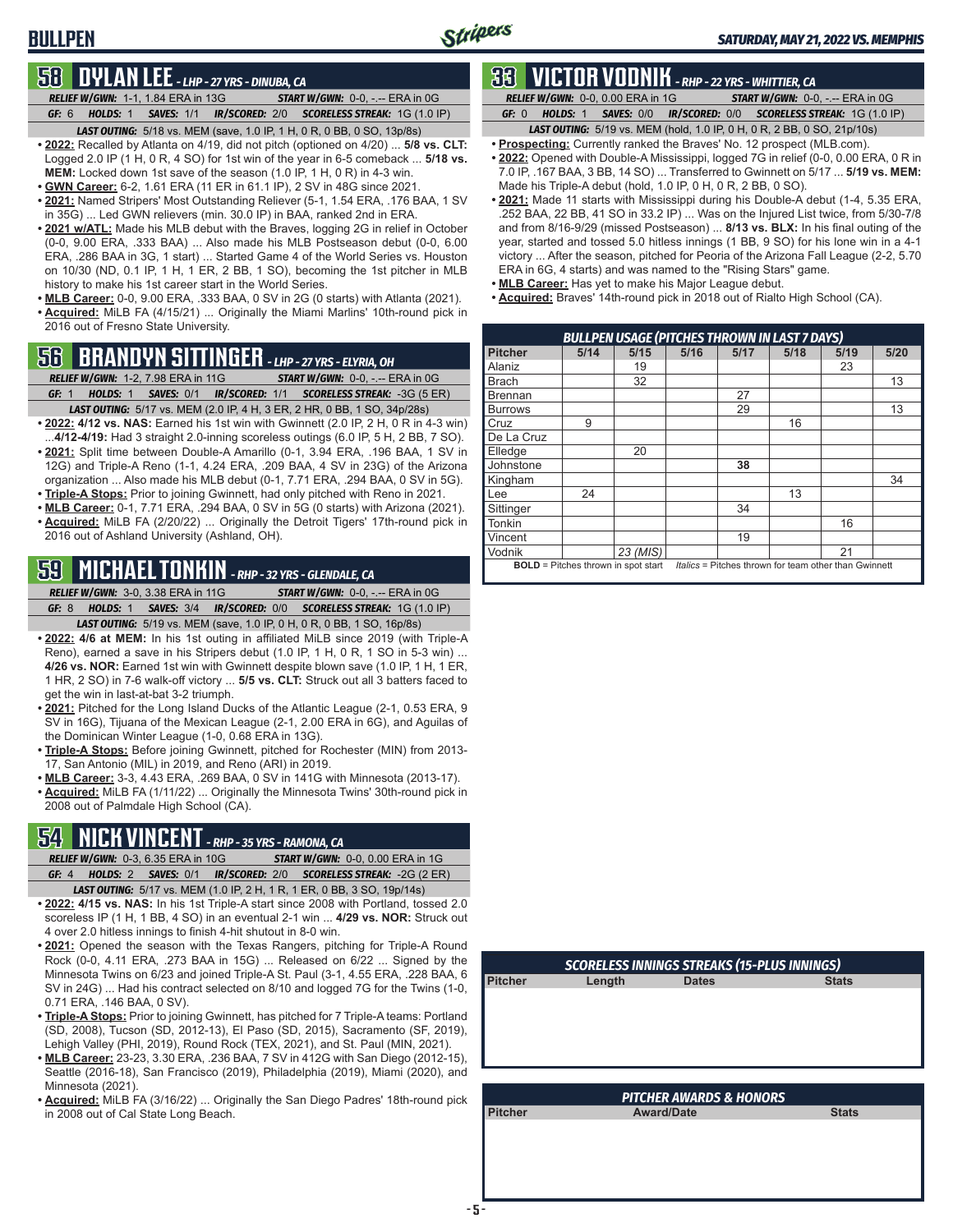## **BULLPEN**

### **58 DYLAN LEE** *- LHP - 27 YRS - DINUBA, CA*

*RELIEF W/GWN:*1-1, 1.84 ERA in 13G *START W/GWN:*0-0, -.-- ERA in 0G *GF:*6 *HOLDS:*1 *SAVES:*1/1 *IR/SCORED:*2/0 *SCORELESS STREAK:*1G (1.0 IP)

- *LAST OUTING:*5/18 vs. MEM (save, 1.0 IP, 1 H, 0 R, 0 BB, 0 SO, 13p/8s) **• 2022:** Recalled by Atlanta on 4/19, did not pitch (optioned on 4/20) ... **5/8 vs. CLT:** Logged 2.0 IP (1 H, 0 R, 4 SO) for 1st win of the year in 6-5 comeback ... **5/18 vs. MEM:** Locked down 1st save of the season (1.0 IP, 1 H, 0 R) in 4-3 win.
- **• GWN Career:** 6-2, 1.61 ERA (11 ER in 61.1 IP), 2 SV in 48G since 2021.
- **• 2021:** Named Stripers' Most Outstanding Reliever (5-1, 1.54 ERA, .176 BAA, 1 SV in 35G) ... Led GWN relievers (min. 30.0 IP) in BAA, ranked 2nd in ERA.
- **• 2021 w/ATL:** Made his MLB debut with the Braves, logging 2G in relief in October (0-0, 9.00 ERA, .333 BAA) ... Also made his MLB Postseason debut (0-0, 6.00 ERA, .286 BAA in 3G, 1 start) ... Started Game 4 of the World Series vs. Houston on 10/30 (ND, 0.1 IP, 1 H, 1 ER, 2 BB, 1 SO), becoming the 1st pitcher in MLB history to make his 1st career start in the World Series.
- **• MLB Career:** 0-0, 9.00 ERA, .333 BAA, 0 SV in 2G (0 starts) with Atlanta (2021). **• Acquired:** MiLB FA (4/15/21) ... Originally the Miami Marlins' 10th-round pick in 2016 out of Fresno State University.

## **56 BRANDYN SITTINGER** *- LHP - 27 YRS - ELYRIA, OH*

*RELIEF W/GWN:*1-2, 7.98 ERA in 11G *START W/GWN:*0-0, -.-- ERA in 0G

- *GF:*1 *HOLDS:*1 *SAVES:*0/1 *IR/SCORED:*1/1 *SCORELESS STREAK:*-3G (5 ER) *LAST OUTING:*5/17 vs. MEM (2.0 IP, 4 H, 3 ER, 2 HR, 0 BB, 1 SO, 34p/28s)
- **• 2022: 4/12 vs. NAS:** Earned his 1st win with Gwinnett (2.0 IP, 2 H, 0 R in 4-3 win) ...**4/12-4/19:** Had 3 straight 2.0-inning scoreless outings (6.0 IP, 5 H, 2 BB, 7 SO).
- **• 2021:** Split time between Double-A Amarillo (0-1, 3.94 ERA, .196 BAA, 1 SV in 12G) and Triple-A Reno (1-1, 4.24 ERA, .209 BAA, 4 SV in 23G) of the Arizona organization ... Also made his MLB debut (0-1, 7.71 ERA, .294 BAA, 0 SV in 5G).
- **• Triple-A Stops:** Prior to joining Gwinnett, had only pitched with Reno in 2021.
- **• MLB Career:** 0-1, 7.71 ERA, .294 BAA, 0 SV in 5G (0 starts) with Arizona (2021). **• Acquired:** MiLB FA (2/20/22) ... Originally the Detroit Tigers' 17th-round pick in 2016 out of Ashland University (Ashland, OH).

## **59 MICHAEL TONKIN** *- RHP - 32 YRS - GLENDALE, CA*

*RELIEF W/GWN:*3-0, 3.38 ERA in 11G *START W/GWN:*0-0, -.-- ERA in 0G *GF:*8 *HOLDS:*1 *SAVES:*3/4 *IR/SCORED:*0/0 *SCORELESS STREAK:*1G (1.0 IP)

*LAST OUTING:*5/19 vs. MEM (save, 1.0 IP, 0 H, 0 R, 0 BB, 1 SO, 16p/8s)

- **• 2022: 4/6 at MEM:** In his 1st outing in affiliated MiLB since 2019 (with Triple-A Reno), earned a save in his Stripers debut (1.0 IP, 1 H, 0 R, 1 SO in 5-3 win) ... **4/26 vs. NOR:** Earned 1st win with Gwinnett despite blown save (1.0 IP, 1 H, 1 ER, 1 HR, 2 SO) in 7-6 walk-off victory ... **5/5 vs. CLT:** Struck out all 3 batters faced to get the win in last-at-bat 3-2 triumph.
- **• 2021:** Pitched for the Long Island Ducks of the Atlantic League (2-1, 0.53 ERA, 9 SV in 16G), Tijuana of the Mexican League (2-1, 2.00 ERA in 6G), and Aguilas of the Dominican Winter League (1-0, 0.68 ERA in 13G).
- **• Triple-A Stops:** Before joining Gwinnett, pitched for Rochester (MIN) from 2013- 17, San Antonio (MIL) in 2019, and Reno (ARI) in 2019.
- **• MLB Career:** 3-3, 4.43 ERA, .269 BAA, 0 SV in 141G with Minnesota (2013-17).
- **• Acquired:** MiLB FA (1/11/22) ... Originally the Minnesota Twins' 30th-round pick in 2008 out of Palmdale High School (CA).

## **54 NICK VINCENT** *- RHP - 35 YRS - RAMONA, CA*

- *RELIEF W/GWN:*0-3, 6.35 ERA in 10G *START W/GWN:*0-0, 0.00 ERA in 1G *GF:*4 *HOLDS:*2 *SAVES:*0/1 *IR/SCORED:*2/0 *SCORELESS STREAK:*-2G (2 ER) *LAST OUTING:*5/17 vs. MEM (1.0 IP, 2 H, 1 R, 1 ER, 0 BB, 3 SO, 19p/14s)
- **• 2022: 4/15 vs. NAS:** In his 1st Triple-A start since 2008 with Portland, tossed 2.0 scoreless IP (1 H, 1 BB, 4 SO) in an eventual 2-1 win ... **4/29 vs. NOR:** Struck out 4 over 2.0 hitless innings to finish 4-hit shutout in 8-0 win.
- **• 2021:** Opened the season with the Texas Rangers, pitching for Triple-A Round Rock (0-0, 4.11 ERA, .273 BAA in 15G) ... Released on 6/22 ... Signed by the Minnesota Twins on 6/23 and joined Triple-A St. Paul (3-1, 4.55 ERA, .228 BAA, 6 SV in 24G) ... Had his contract selected on 8/10 and logged 7G for the Twins (1-0, 0.71 ERA, .146 BAA, 0 SV).
- **• Triple-A Stops:** Prior to joining Gwinnett, has pitched for 7 Triple-A teams: Portland (SD, 2008), Tucson (SD, 2012-13), El Paso (SD, 2015), Sacramento (SF, 2019), Lehigh Valley (PHI, 2019), Round Rock (TEX, 2021), and St. Paul (MIN, 2021).
- **• MLB Career:** 23-23, 3.30 ERA, .236 BAA, 7 SV in 412G with San Diego (2012-15), Seattle (2016-18), San Francisco (2019), Philadelphia (2019), Miami (2020), and Minnesota (2021).
- **• Acquired:** MiLB FA (3/16/22) ... Originally the San Diego Padres' 18th-round pick in 2008 out of Cal State Long Beach.

### **33 VICTOR VODNIK** *- RHP - 22 YRS - WHITTIER, CA*

*RELIEF W/GWN:*0-0, 0.00 ERA in 1G *START W/GWN:*0-0, -.-- ERA in 0G

*GF:*0 *HOLDS:*1 *SAVES:*0/0 *IR/SCORED:*0/0 *SCORELESS STREAK:*1G (1.0 IP)

- *LAST OUTING:*5/19 vs. MEM (hold, 1.0 IP, 0 H, 0 R, 2 BB, 0 SO, 21p/10s) **• Prospecting:** Currently ranked the Braves' No. 12 prospect (MLB.com).
- **• 2022:** Opened with Double-A Mississippi, logged 7G in relief (0-0, 0.00 ERA, 0 R in 7.0 IP, .167 BAA, 3 BB, 14 SO) ... Transferred to Gwinnett on 5/17 ... **5/19 vs. MEM:** Made his Triple-A debut (hold, 1.0 IP, 0 H, 0 R, 2 BB, 0 SO).
- **• 2021:** Made 11 starts with Mississippi during his Double-A debut (1-4, 5.35 ERA, .252 BAA, 22 BB, 41 SO in 33.2 IP) ... Was on the Injured List twice, from 5/30-7/8 and from 8/16-9/29 (missed Postseason) ... **8/13 vs. BLX:** In his final outing of the year, started and tossed 5.0 hitless innings (1 BB, 9 SO) for his lone win in a 4-1 victory ... After the season, pitched for Peoria of the Arizona Fall League (2-2, 5.70 ERA in 6G, 4 starts) and was named to the "Rising Stars" game.
- **• MLB Career:** Has yet to make his Major League debut.
- **• Acquired:** Braves' 14th-round pick in 2018 out of Rialto High School (CA).

|                                                                                                     | <b>BULLPEN USAGE (PITCHES THROWN IN LAST 7 DAYS)</b> |          |      |      |      |      |      |  |  |  |
|-----------------------------------------------------------------------------------------------------|------------------------------------------------------|----------|------|------|------|------|------|--|--|--|
| <b>Pitcher</b>                                                                                      | 5/14                                                 | 5/15     | 5/16 | 5/17 | 5/18 | 5/19 | 5/20 |  |  |  |
| Alaniz                                                                                              |                                                      | 19       |      |      |      | 23   |      |  |  |  |
| <b>Brach</b>                                                                                        |                                                      | 32       |      |      |      |      | 13   |  |  |  |
| <b>Brennan</b>                                                                                      |                                                      |          |      | 27   |      |      |      |  |  |  |
| <b>Burrows</b>                                                                                      |                                                      |          |      | 29   |      |      | 13   |  |  |  |
| Cruz                                                                                                | 9                                                    |          |      |      | 16   |      |      |  |  |  |
| De La Cruz                                                                                          |                                                      |          |      |      |      |      |      |  |  |  |
| Elledge                                                                                             |                                                      | 20       |      |      |      |      |      |  |  |  |
| Johnstone                                                                                           |                                                      |          |      | 38   |      |      |      |  |  |  |
| Kingham                                                                                             |                                                      |          |      |      |      |      | 34   |  |  |  |
| Lee                                                                                                 | 24                                                   |          |      |      | 13   |      |      |  |  |  |
| Sittinger                                                                                           |                                                      |          |      | 34   |      |      |      |  |  |  |
| <b>Tonkin</b>                                                                                       |                                                      |          |      |      |      | 16   |      |  |  |  |
| Vincent                                                                                             |                                                      |          |      | 19   |      |      |      |  |  |  |
| Vodnik                                                                                              |                                                      | 23 (MIS) |      |      |      | 21   |      |  |  |  |
| <b>BOLD</b> = Pitches thrown in spot start<br>Italics = Pitches thrown for team other than Gwinnett |                                                      |          |      |      |      |      |      |  |  |  |

| <b>SCORELESS INNINGS STREAKS (15-PLUS INNINGS)</b> |        |              |              |  |  |  |  |  |  |
|----------------------------------------------------|--------|--------------|--------------|--|--|--|--|--|--|
| <b>Pitcher</b>                                     | Length | <b>Dates</b> | <b>Stats</b> |  |  |  |  |  |  |
|                                                    |        |              |              |  |  |  |  |  |  |
|                                                    |        |              |              |  |  |  |  |  |  |
|                                                    |        |              |              |  |  |  |  |  |  |
|                                                    |        |              |              |  |  |  |  |  |  |
|                                                    |        |              |              |  |  |  |  |  |  |
|                                                    |        |              |              |  |  |  |  |  |  |
|                                                    |        |              |              |  |  |  |  |  |  |

| <b>PITCHER AWARDS &amp; HONORS</b> |                   |              |  |  |  |  |  |
|------------------------------------|-------------------|--------------|--|--|--|--|--|
| Pitcher                            | <b>Award/Date</b> | <b>Stats</b> |  |  |  |  |  |
|                                    |                   |              |  |  |  |  |  |
|                                    |                   |              |  |  |  |  |  |
|                                    |                   |              |  |  |  |  |  |
|                                    |                   |              |  |  |  |  |  |
|                                    |                   |              |  |  |  |  |  |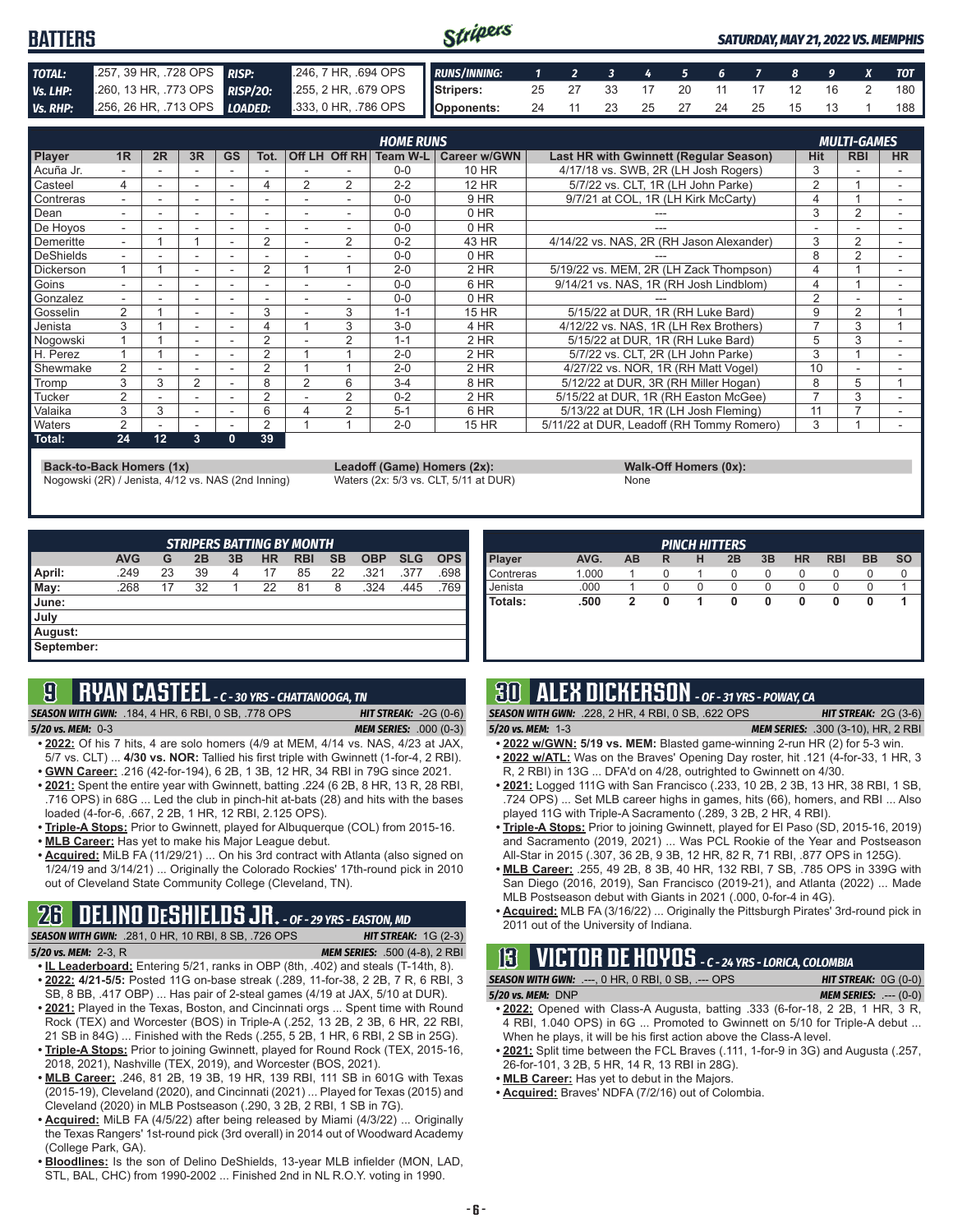#### Stripers **BATTERS** *SATURDAY, MAY 21, 2022 VS. MEMPHIS TOTAL:* .257, 39 HR, .728 OPS *RISP:* .246, 7 HR, .694 OPS *RUNS/INNING: 1 2 3 4 5 6 7 8 9 X TOT Vs. LHP:* .260, 13 HR, .773 OPS *RISP/2O:* .255, 2 HR, .679 OPS **Stripers:** 25 27 33 17 20 11 17 12 16 2 180 *Vs. RHP:* .256, 26 HR, .713 OPS *LOADED:* .333, 0 HR, .786 OPS **Opponents:** 24 11 23 25 27 24 25 15 13 1 188

|                  |    |    |                          |           |                |                |                | <b>HOME RUNS</b>       |              |                                           |                | <b>MULTI-GAMES</b> |           |
|------------------|----|----|--------------------------|-----------|----------------|----------------|----------------|------------------------|--------------|-------------------------------------------|----------------|--------------------|-----------|
| Player           | 1R | 2R | 3R                       | <b>GS</b> | Tot.           |                |                | Off LH Off RH Team W-L | Career w/GWN | Last HR with Gwinnett (Regular Season)    | Hit            | <b>RBI</b>         | <b>HR</b> |
| Acuña Jr.        |    |    |                          |           |                |                |                | $0 - 0$                | 10 HR        | 4/17/18 vs. SWB, 2R (LH Josh Rogers)      | 3              |                    |           |
| Casteel          | 4  |    | $\overline{\phantom{a}}$ | ۰         | 4              | $\overline{2}$ | 2              | $2 - 2$                | <b>12 HR</b> | 5/7/22 vs. CLT, 1R (LH John Parke)        | $\overline{2}$ |                    |           |
| Contreras        | ۰  |    |                          |           |                |                |                | $0 - 0$                | 9 HR         | 9/7/21 at COL, 1R (LH Kirk McCarty)       | 4              |                    |           |
| Dean             |    |    |                          |           |                |                |                | $0 - 0$                | $0$ HR       |                                           | 3              | 2                  |           |
| De Hoyos         | ۰. |    |                          | ۰         | ۰              |                |                | $0 - 0$                | $0$ HR       |                                           |                |                    | ۰         |
| Demeritte        | ÷. |    |                          |           | 2              |                | 2              | $0 - 2$                | 43 HR        | 4/14/22 vs. NAS, 2R (RH Jason Alexander)  | 3              | 2                  |           |
| <b>DeShields</b> |    |    |                          |           |                |                |                | $0 - 0$                | 0 HR         |                                           | 8              | 2                  |           |
| Dickerson        |    |    |                          |           | 2              |                |                | $2 - 0$                | $2$ HR       | 5/19/22 vs. MEM, 2R (LH Zack Thompson)    | 4              |                    |           |
| Goins            | -  |    |                          | ۰         | -              |                |                | $0 - 0$                | 6 HR         | 9/14/21 vs. NAS, 1R (RH Josh Lindblom)    |                |                    |           |
| Gonzalez         | Ξ. |    | $\overline{\phantom{a}}$ |           | ٠              |                |                | $0 - 0$                | 0 HR         |                                           | $\mathcal{P}$  |                    |           |
| Gosselin         | 2  |    |                          |           | 3              |                | 3              | $1 - 1$                | <b>15 HR</b> | 5/15/22 at DUR, 1R (RH Luke Bard)         | 9              | 2                  |           |
| Jenista          | 3  |    |                          |           |                |                | 3              | $3-0$                  | 4 HR         | 4/12/22 vs. NAS, 1R (LH Rex Brothers)     |                | 3                  |           |
| Nogowski         |    |    |                          |           | $\overline{2}$ |                | $\overline{2}$ | $1 - 1$                | 2 HR         | 5/15/22 at DUR, 1R (RH Luke Bard)         | 5              | 3                  |           |
| H. Perez         |    |    |                          |           | $\overline{2}$ |                |                | $2 - 0$                | 2 HR         | 5/7/22 vs. CLT, 2R (LH John Parke)        | 3              |                    |           |
| Shewmake         | 2  |    |                          |           | 2              |                |                | $2 - 0$                | 2 HR         | 4/27/22 vs. NOR, 1R (RH Matt Vogel)       | 10             |                    |           |
| Tromp            | 3  | 3  | $\overline{2}$           |           | 8              | 2              | 6              | $3 - 4$                | 8 HR         | 5/12/22 at DUR. 3R (RH Miller Hogan)      | 8              | 5                  |           |
| <b>Tucker</b>    | 2  |    |                          |           | 2              |                | 2              | $0 - 2$                | 2 HR         | 5/15/22 at DUR, 1R (RH Easton McGee)      |                | 3                  |           |
| Valaika          | 3  | 3  | $\overline{\phantom{a}}$ |           | 6              |                | $\overline{2}$ | $5 - 1$                | 6 HR         | 5/13/22 at DUR, 1R (LH Josh Fleming)      | 11             |                    |           |
| Waters           | 2  |    |                          |           | 2              |                |                | $2 - 0$                | 15 HR        | 5/11/22 at DUR, Leadoff (RH Tommy Romero) | 3              |                    |           |
| Total:           | 24 | 12 | 3                        | 0         | 39             |                |                |                        |              |                                           |                |                    |           |

**Back-to-Back Homers (1x) Leadoff (Game) Homers (2x): Walk-Off Homers (0x): Walk-Off Homers (0x): None None Walk-Off Homers (0x): Walk-Off Homers (0x): Walk-Off Homers (0x): Waters (2x: 5/3 vs. CLT, 5/11 at** Nogowski (2R) / Jenista, 4/12 vs. NAS (2nd Inning) Waters (2x: 5/3 vs. CLT, 5/11 at DUR) None

|             | $\frac{1}{2}$ |
|-------------|---------------|
| <b>None</b> |               |

| <b>STRIPERS BATTING BY MONTH</b> |            |    |    |    |           |            |           |            |            |            |
|----------------------------------|------------|----|----|----|-----------|------------|-----------|------------|------------|------------|
|                                  | <b>AVG</b> | G  | 2B | 3B | <b>HR</b> | <b>RBI</b> | <b>SB</b> | <b>OBP</b> | <b>SLG</b> | <b>OPS</b> |
| April:                           | .249       | 23 | 39 | 4  | 17        | 85         | 22        | .321       | .377       | .698       |
| May:                             | .268       | 17 | 32 |    | 22        | 81         | 8         | .324       | .445       | .769       |
| <b>June:</b>                     |            |    |    |    |           |            |           |            |            |            |
| July                             |            |    |    |    |           |            |           |            |            |            |
| August:                          |            |    |    |    |           |            |           |            |            |            |
| September:                       |            |    |    |    |           |            |           |            |            |            |

## **9 RYAN CASTEEL** *- C - 30 YRS - CHATTANOOGA, TN*

*SEASON WITH GWN:*.184, 4 HR, 6 RBI, 0 SB, .778 OPS *HIT STREAK:* -2G (0-6)

*5/20 vs. MEM:*0-3 *MEM SERIES:* .000 (0-3)

- **• 2022:** Of his 7 hits, 4 are solo homers (4/9 at MEM, 4/14 vs. NAS, 4/23 at JAX, 5/7 vs. CLT) ... **4/30 vs. NOR:** Tallied his first triple with Gwinnett (1-for-4, 2 RBI). **• GWN Career:** .216 (42-for-194), 6 2B, 1 3B, 12 HR, 34 RBI in 79G since 2021.
- **• 2021:** Spent the entire year with Gwinnett, batting .224 (6 2B, 8 HR, 13 R, 28 RBI, .716 OPS) in 68G ... Led the club in pinch-hit at-bats (28) and hits with the bases loaded (4-for-6, .667, 2 2B, 1 HR, 12 RBI, 2.125 OPS).
- **• Triple-A Stops:** Prior to Gwinnett, played for Albuquerque (COL) from 2015-16.
- **• MLB Career:** Has yet to make his Major League debut.
- **• Acquired:** MiLB FA (11/29/21) ... On his 3rd contract with Atlanta (also signed on 1/24/19 and 3/14/21) ... Originally the Colorado Rockies' 17th-round pick in 2010 out of Cleveland State Community College (Cleveland, TN).

## **26 DELINO DESHIELDS JR.** *- OF - 29 YRS - EASTON, MD*

| <b>SEASON WITH GWN:</b> .281, 0 HR, 10 RBI, 8 SB, .726 OPS | <b>HIT STREAK:</b> $1G(2-3)$         |
|------------------------------------------------------------|--------------------------------------|
| 5/20 vs. MEM: 2-3, R                                       | <b>MEM SERIES:</b> .500 (4-8), 2 RBI |
|                                                            | $\blacksquare$                       |

- **• IL Leaderboard:** Entering 5/21, ranks in OBP (8th, .402) and steals (T-14th, 8). **• 2022: 4/21-5/5:** Posted 11G on-base streak (.289, 11-for-38, 2 2B, 7 R, 6 RBI, 3 SB, 8 BB, .417 OBP) ... Has pair of 2-steal games (4/19 at JAX, 5/10 at DUR).
- **• 2021:** Played in the Texas, Boston, and Cincinnati orgs ... Spent time with Round Rock (TEX) and Worcester (BOS) in Triple-A (.252, 13 2B, 2 3B, 6 HR, 22 RBI,
- 21 SB in 84G) ... Finished with the Reds (.255, 5 2B, 1 HR, 6 RBI, 2 SB in 25G). **• Triple-A Stops:** Prior to joining Gwinnett, played for Round Rock (TEX, 2015-16, 2018, 2021), Nashville (TEX, 2019), and Worcester (BOS, 2021).
- **• MLB Career:** .246, 81 2B, 19 3B, 19 HR, 139 RBI, 111 SB in 601G with Texas (2015-19), Cleveland (2020), and Cincinnati (2021) ... Played for Texas (2015) and Cleveland (2020) in MLB Postseason (.290, 3 2B, 2 RBI, 1 SB in 7G).
- **• Acquired:** MiLB FA (4/5/22) after being released by Miami (4/3/22) ... Originally the Texas Rangers' 1st-round pick (3rd overall) in 2014 out of Woodward Academy (College Park, GA).
- **• Bloodlines:** Is the son of Delino DeShields, 13-year MLB infielder (MON, LAD, STL, BAL, CHC) from 1990-2002 ... Finished 2nd in NL R.O.Y. voting in 1990.

|           |       |    |   |   | <b>PINCH HITTERS</b> |    |           |            |           |           |
|-----------|-------|----|---|---|----------------------|----|-----------|------------|-----------|-----------|
| Player    | AVG.  | AB | R | н | 2B                   | 3B | <b>HR</b> | <b>RBI</b> | <b>BB</b> | <b>SO</b> |
| Contreras | 1.000 |    |   |   | 0                    | 0  | O         | O          | U         |           |
| Jenista   | .000  |    |   |   | $\left( \right)$     |    |           |            |           |           |
| Totals:   | .500  |    |   |   | 0                    | 0  | 0         |            |           |           |
|           |       |    |   |   |                      |    |           |            |           |           |
|           |       |    |   |   |                      |    |           |            |           |           |

## **30 ALEX DICKERSON** *- OF - 31 YRS - POWAY, CA*

*SEASON WITH GWN:*.228, 2 HR, 4 RBI, 0 SB, .622 OPS *HIT STREAK:* 2G (3-6)

- *5/20 vs. MEM:*1-3 *MEM SERIES:* .300 (3-10), HR, 2 RBI **• 2022 w/GWN: 5/19 vs. MEM:** Blasted game-winning 2-run HR (2) for 5-3 win.
- **• 2022 w/ATL:** Was on the Braves' Opening Day roster, hit .121 (4-for-33, 1 HR, 3 R, 2 RBI) in 13G ... DFA'd on 4/28, outrighted to Gwinnett on 4/30.
- **• 2021:** Logged 111G with San Francisco (.233, 10 2B, 2 3B, 13 HR, 38 RBI, 1 SB, .724 OPS) ... Set MLB career highs in games, hits (66), homers, and RBI ... Also played 11G with Triple-A Sacramento (.289, 3 2B, 2 HR, 4 RBI).
- **• Triple-A Stops:** Prior to joining Gwinnett, played for El Paso (SD, 2015-16, 2019) and Sacramento (2019, 2021) ... Was PCL Rookie of the Year and Postseason All-Star in 2015 (.307, 36 2B, 9 3B, 12 HR, 82 R, 71 RBI, .877 OPS in 125G).
- **• MLB Career:** .255, 49 2B, 8 3B, 40 HR, 132 RBI, 7 SB, .785 OPS in 339G with San Diego (2016, 2019), San Francisco (2019-21), and Atlanta (2022) ... Made MLB Postseason debut with Giants in 2021 (.000, 0-for-4 in 4G).
- **• Acquired:** MLB FA (3/16/22) ... Originally the Pittsburgh Pirates' 3rd-round pick in 2011 out of the University of Indiana.

## **13 VICTOR DE HOYOS** *- C - 24 YRS - LORICA, COLOMBIA*

*SEASON WITH GWN:*.---, 0 HR, 0 RBI, 0 SB, .--- OPS *HIT STREAK:* 0G (0-0) *5/20 vs. MEM:*DNP *MEM SERIES:* .--- (0-0)

- **• 2022:** Opened with Class-A Augusta, batting .333 (6-for-18, 2 2B, 1 HR, 3 R, 4 RBI, 1.040 OPS) in 6G ... Promoted to Gwinnett on 5/10 for Triple-A debut ... When he plays, it will be his first action above the Class-A level.
- **• 2021:** Split time between the FCL Braves (.111, 1-for-9 in 3G) and Augusta (.257, 26-for-101, 3 2B, 5 HR, 14 R, 13 RBI in 28G).
- **• MLB Career:** Has yet to debut in the Majors.
- **• Acquired:** Braves' NDFA (7/2/16) out of Colombia.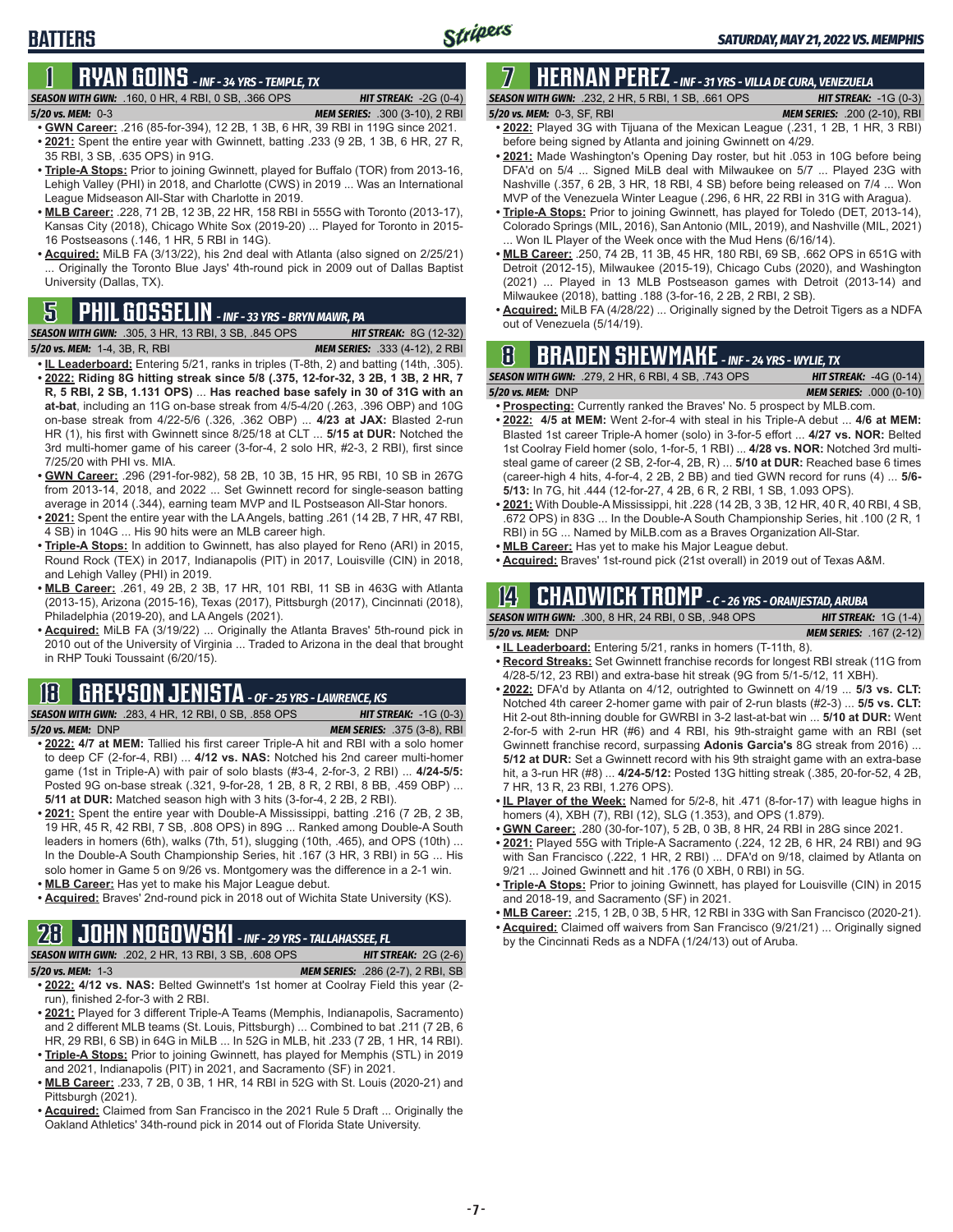# **1 RYAN GOINS** *- INF - 34 YRS - TEMPLE, TX*

### *SEASON WITH GWN:*.160, 0 HR, 4 RBI, 0 SB, .366 OPS *HIT STREAK:* -2G (0-4)

**BATTERS**

- *5/20 vs. MEM:*0-3 *MEM SERIES:* .300 (3-10), 2 RBI
- **• GWN Career:** .216 (85-for-394), 12 2B, 1 3B, 6 HR, 39 RBI in 119G since 2021. **• 2021:** Spent the entire year with Gwinnett, batting .233 (9 2B, 1 3B, 6 HR, 27 R, 35 RBI, 3 SB, .635 OPS) in 91G.
- **• Triple-A Stops:** Prior to joining Gwinnett, played for Buffalo (TOR) from 2013-16, Lehigh Valley (PHI) in 2018, and Charlotte (CWS) in 2019 ... Was an International League Midseason All-Star with Charlotte in 2019.
- **• MLB Career:** .228, 71 2B, 12 3B, 22 HR, 158 RBI in 555G with Toronto (2013-17), Kansas City (2018), Chicago White Sox (2019-20) ... Played for Toronto in 2015- 16 Postseasons (.146, 1 HR, 5 RBI in 14G).
- **• Acquired:** MiLB FA (3/13/22), his 2nd deal with Atlanta (also signed on 2/25/21) ... Originally the Toronto Blue Jays' 4th-round pick in 2009 out of Dallas Baptist University (Dallas, TX).

# out of Venezuela (5/14/19). **5 PHIL GOSSELIN** *- INF - 33 YRS - BRYN MAWR, PA*

**SEASON WITH GWN:** .305, 3 HR, 13 RBI, 3 SB, .845 OPS *5/20 vs. MEM:*1-4, 3B, R, RBI *MEM SERIES:* .333 (4-12), 2 RBI

- **• IL Leaderboard:** Entering 5/21, ranks in triples (T-8th, 2) and batting (14th, .305). **• 2022: Riding 8G hitting streak since 5/8 (.375, 12-for-32, 3 2B, 1 3B, 2 HR, 7 R, 5 RBI, 2 SB, 1.131 OPS)** ... **Has reached base safely in 30 of 31G with an at-bat**, including an 11G on-base streak from 4/5-4/20 (.263, .396 OBP) and 10G on-base streak from 4/22-5/6 (.326, .362 OBP) ... **4/23 at JAX:** Blasted 2-run HR (1), his first with Gwinnett since 8/25/18 at CLT ... **5/15 at DUR:** Notched the 3rd multi-homer game of his career (3-for-4, 2 solo HR, #2-3, 2 RBI), first since 7/25/20 with PHI vs. MIA.
- **• GWN Career:** .296 (291-for-982), 58 2B, 10 3B, 15 HR, 95 RBI, 10 SB in 267G from 2013-14, 2018, and 2022 ... Set Gwinnett record for single-season batting average in 2014 (.344), earning team MVP and IL Postseason All-Star honors.
- **• 2021:** Spent the entire year with the LA Angels, batting .261 (14 2B, 7 HR, 47 RBI, 4 SB) in 104G ... His 90 hits were an MLB career high.
- **• Triple-A Stops:** In addition to Gwinnett, has also played for Reno (ARI) in 2015, Round Rock (TEX) in 2017, Indianapolis (PIT) in 2017, Louisville (CIN) in 2018, and Lehigh Valley (PHI) in 2019.
- **• MLB Career:** .261, 49 2B, 2 3B, 17 HR, 101 RBI, 11 SB in 463G with Atlanta (2013-15), Arizona (2015-16), Texas (2017), Pittsburgh (2017), Cincinnati (2018), Philadelphia (2019-20), and LA Angels (2021).
- **• Acquired:** MiLB FA (3/19/22) ... Originally the Atlanta Braves' 5th-round pick in 2010 out of the University of Virginia ... Traded to Arizona in the deal that brought in RHP Touki Toussaint (6/20/15).

## **18 GREYSON JENISTA** *- OF - 25 YRS - LAWRENCE, KS*

*SEASON WITH GWN:*.283, 4 HR, 12 RBI, 0 SB, .858 OPS *HIT STREAK:* -1G (0-3) *5/20 vs. MEM:*DNP *MEM SERIES:* .375 (3-8), RBI

- **• 2022: 4/7 at MEM:** Tallied his first career Triple-A hit and RBI with a solo homer to deep CF (2-for-4, RBI) ... **4/12 vs. NAS:** Notched his 2nd career multi-homer game (1st in Triple-A) with pair of solo blasts (#3-4, 2-for-3, 2 RBI) ... **4/24-5/5:**  Posted 9G on-base streak (.321, 9-for-28, 1 2B, 8 R, 2 RBI, 8 BB, .459 OBP) ... **5/11 at DUR:** Matched season high with 3 hits (3-for-4, 2 2B, 2 RBI).
- **• 2021:** Spent the entire year with Double-A Mississippi, batting .216 (7 2B, 2 3B, 19 HR, 45 R, 42 RBI, 7 SB, .808 OPS) in 89G ... Ranked among Double-A South leaders in homers (6th), walks (7th, 51), slugging (10th, .465), and OPS (10th) ... In the Double-A South Championship Series, hit .167 (3 HR, 3 RBI) in 5G ... His solo homer in Game 5 on 9/26 vs. Montgomery was the difference in a 2-1 win.
- **• MLB Career:** Has yet to make his Major League debut.
- **• Acquired:** Braves' 2nd-round pick in 2018 out of Wichita State University (KS).

## **28 JOHN NOGOWSKI** *- INF - 29 YRS - TALLAHASSEE, FL*

*SEASON WITH GWN:*.202, 2 HR, 13 RBI, 3 SB, .608 OPS *HIT STREAK:* 2G (2-6) *5/20 vs. MEM:*1-3 *MEM SERIES:* .286 (2-7), 2 RBI, SB

- **• 2022: 4/12 vs. NAS:** Belted Gwinnett's 1st homer at Coolray Field this year (2 run), finished 2-for-3 with 2 RBI.
- **• 2021:** Played for 3 different Triple-A Teams (Memphis, Indianapolis, Sacramento) and 2 different MLB teams (St. Louis, Pittsburgh) ... Combined to bat .211 (7 2B, 6 HR, 29 RBI, 6 SB) in 64G in MiLB ... In 52G in MLB, hit .233 (7 2B, 1 HR, 14 RBI).
- **• Triple-A Stops:** Prior to joining Gwinnett, has played for Memphis (STL) in 2019 and 2021, Indianapolis (PIT) in 2021, and Sacramento (SF) in 2021.
- **• MLB Career:** .233, 7 2B, 0 3B, 1 HR, 14 RBI in 52G with St. Louis (2020-21) and Pittsburgh (2021).
- **• Acquired:** Claimed from San Francisco in the 2021 Rule 5 Draft ... Originally the Oakland Athletics' 34th-round pick in 2014 out of Florida State University.

## **7 HERNAN PEREZ** *- INF - 31 YRS - VILLA DE CURA, VENEZUELA*

*SEASON WITH GWN:*.232, 2 HR, 5 RBI, 1 SB, .661 OPS *HIT STREAK:* -1G (0-3) *5/20 vs. MEM:*0-3, SF, RBI *MEM SERIES:* .200 (2-10), RBI

- **• 2022:** Played 3G with Tijuana of the Mexican League (.231, 1 2B, 1 HR, 3 RBI) before being signed by Atlanta and joining Gwinnett on 4/29.
- **• 2021:** Made Washington's Opening Day roster, but hit .053 in 10G before being DFA'd on 5/4 ... Signed MiLB deal with Milwaukee on 5/7 ... Played 23G with Nashville (.357, 6 2B, 3 HR, 18 RBI, 4 SB) before being released on 7/4 ... Won MVP of the Venezuela Winter League (.296, 6 HR, 22 RBI in 31G with Aragua).
- **• Triple-A Stops:** Prior to joining Gwinnett, has played for Toledo (DET, 2013-14), Colorado Springs (MIL, 2016), San Antonio (MIL, 2019), and Nashville (MIL, 2021) ... Won IL Player of the Week once with the Mud Hens (6/16/14).
- **• MLB Career:** .250, 74 2B, 11 3B, 45 HR, 180 RBI, 69 SB, .662 OPS in 651G with Detroit (2012-15), Milwaukee (2015-19), Chicago Cubs (2020), and Washington (2021) ... Played in 13 MLB Postseason games with Detroit (2013-14) and Milwaukee (2018), batting .188 (3-for-16, 2 2B, 2 RBI, 2 SB).
- **• Acquired:** MiLB FA (4/28/22) ... Originally signed by the Detroit Tigers as a NDFA

## **8 BRADEN SHEWMAKE** *- INF - 24 YRS - WYLIE, TX*

*SEASON WITH GWN:*.279, 2 HR, 6 RBI, 4 SB, .743 OPS *HIT STREAK:* -4G (0-14)

- *5/20 vs. MEM:*DNP *MEM SERIES:* .000 (0-10) **• Prospecting:** Currently ranked the Braves' No. 5 prospect by MLB.com.
- **• 2022: 4/5 at MEM:** Went 2-for-4 with steal in his Triple-A debut ... **4/6 at MEM:**  Blasted 1st career Triple-A homer (solo) in 3-for-5 effort ... **4/27 vs. NOR:** Belted 1st Coolray Field homer (solo, 1-for-5, 1 RBI) ... **4/28 vs. NOR:** Notched 3rd multisteal game of career (2 SB, 2-for-4, 2B, R) ... **5/10 at DUR:** Reached base 6 times (career-high 4 hits, 4-for-4, 2 2B, 2 BB) and tied GWN record for runs (4) ... **5/6- 5/13:** In 7G, hit .444 (12-for-27, 4 2B, 6 R, 2 RBI, 1 SB, 1.093 OPS).
- **• 2021:** With Double-A Mississippi, hit .228 (14 2B, 3 3B, 12 HR, 40 R, 40 RBI, 4 SB, .672 OPS) in 83G ... In the Double-A South Championship Series, hit .100 (2 R, 1 RBI) in 5G ... Named by MiLB.com as a Braves Organization All-Star.
- **• MLB Career:** Has yet to make his Major League debut.
- **• Acquired:** Braves' 1st-round pick (21st overall) in 2019 out of Texas A&M.

## **14 CHADWICK TROMP** *- C - 26 YRS - ORANJESTAD, ARUBA*

|                       | <b>SEASON WITH GWN: .300. 8 HR. 24 RBI. 0 SB. .948 OPS</b> | <b>HIT STREAK:</b> $1G(1-4)$   |
|-----------------------|------------------------------------------------------------|--------------------------------|
| $5/20$ vs. MEM: $DNP$ |                                                            | <b>MEM SERIES: .167 (2-12)</b> |

- **• IL Leaderboard:** Entering 5/21, ranks in homers (T-11th, 8).
- **• Record Streaks:** Set Gwinnett franchise records for longest RBI streak (11G from 4/28-5/12, 23 RBI) and extra-base hit streak (9G from 5/1-5/12, 11 XBH).
- **• 2022:** DFA'd by Atlanta on 4/12, outrighted to Gwinnett on 4/19 ... **5/3 vs. CLT:** Notched 4th career 2-homer game with pair of 2-run blasts (#2-3) ... **5/5 vs. CLT:** Hit 2-out 8th-inning double for GWRBI in 3-2 last-at-bat win ... **5/10 at DUR:** Went 2-for-5 with 2-run HR (#6) and 4 RBI, his 9th-straight game with an RBI (set Gwinnett franchise record, surpassing **Adonis Garcia's** 8G streak from 2016) ... **5/12 at DUR:** Set a Gwinnett record with his 9th straight game with an extra-base hit, a 3-run HR (#8) ... **4/24-5/12:** Posted 13G hitting streak (.385, 20-for-52, 4 2B, 7 HR, 13 R, 23 RBI, 1.276 OPS).
- **• IL Player of the Week:** Named for 5/2-8, hit .471 (8-for-17) with league highs in homers (4), XBH (7), RBI (12), SLG (1.353), and OPS (1.879).
- **• GWN Career:** .280 (30-for-107), 5 2B, 0 3B, 8 HR, 24 RBI in 28G since 2021.
- **• 2021:** Played 55G with Triple-A Sacramento (.224, 12 2B, 6 HR, 24 RBI) and 9G with San Francisco (.222, 1 HR, 2 RBI) ... DFA'd on 9/18, claimed by Atlanta on 9/21 ... Joined Gwinnett and hit .176 (0 XBH, 0 RBI) in 5G.
- **• Triple-A Stops:** Prior to joining Gwinnett, has played for Louisville (CIN) in 2015 and 2018-19, and Sacramento (SF) in 2021.
- **• MLB Career:** .215, 1 2B, 0 3B, 5 HR, 12 RBI in 33G with San Francisco (2020-21).
- **• Acquired:** Claimed off waivers from San Francisco (9/21/21) ... Originally signed by the Cincinnati Reds as a NDFA (1/24/13) out of Aruba.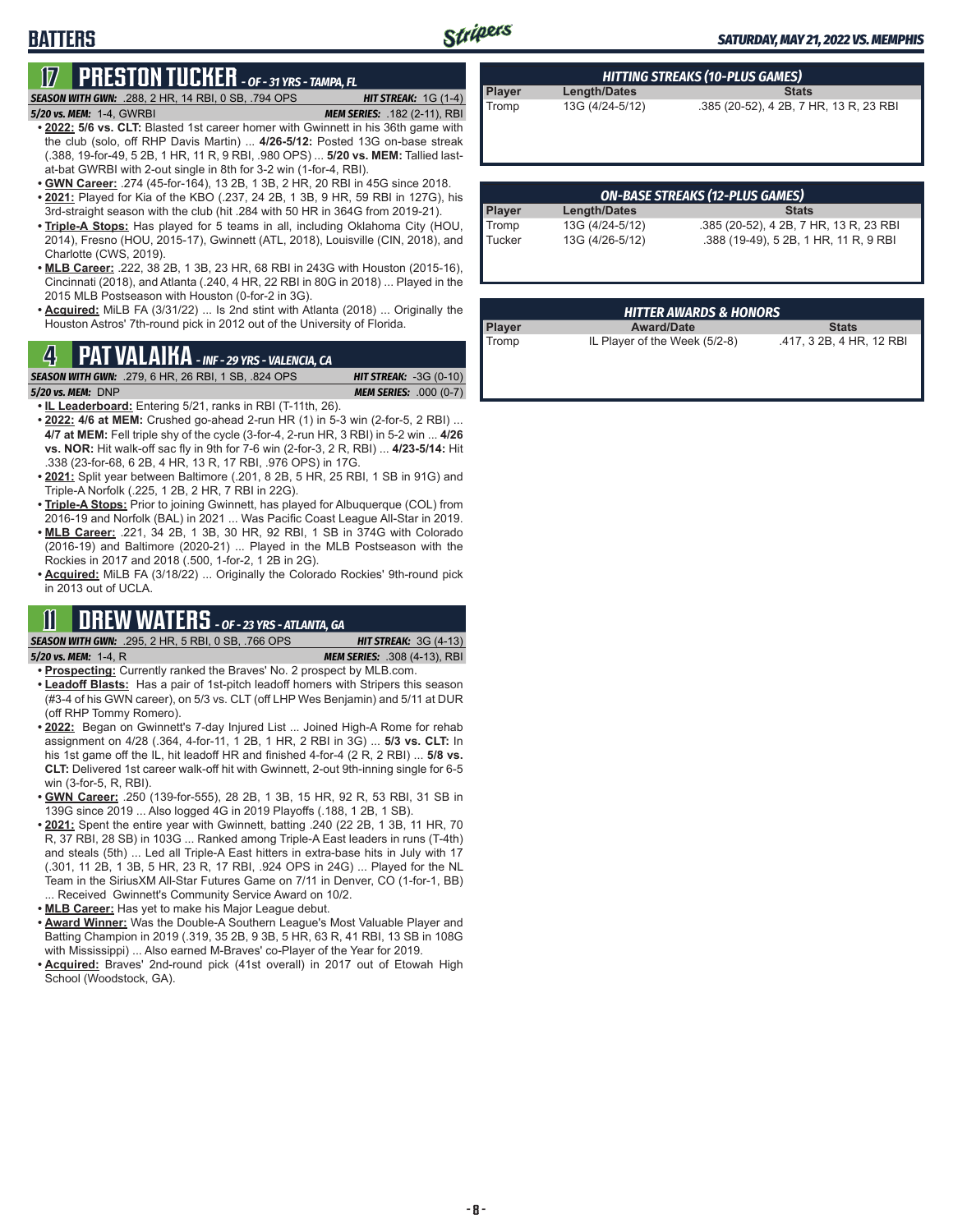#### *SATURDAY, MAY 21, 2022 VS. MEMPHIS*

**BATTERS**

## **17 PRESTON TUCKER** *- OF - 31 YRS - TAMPA, FL*

*SEASON WITH GWN:*.288, 2 HR, 14 RBI, 0 SB, .794 OPS *HIT STREAK:* 1G (1-4) *5/20 vs. MEM:*1-4, GWRBI *MEM SERIES:* .182 (2-11), RBI

- **• 2022: 5/6 vs. CLT:** Blasted 1st career homer with Gwinnett in his 36th game with the club (solo, off RHP Davis Martin) ... **4/26-5/12:** Posted 13G on-base streak (.388, 19-for-49, 5 2B, 1 HR, 11 R, 9 RBI, .980 OPS) ... **5/20 vs. MEM:** Tallied lastat-bat GWRBI with 2-out single in 8th for 3-2 win (1-for-4, RBI).
- **• GWN Career:** .274 (45-for-164), 13 2B, 1 3B, 2 HR, 20 RBI in 45G since 2018.
- **• 2021:** Played for Kia of the KBO (.237, 24 2B, 1 3B, 9 HR, 59 RBI in 127G), his 3rd-straight season with the club (hit .284 with 50 HR in 364G from 2019-21).
- **• Triple-A Stops:** Has played for 5 teams in all, including Oklahoma City (HOU, 2014), Fresno (HOU, 2015-17), Gwinnett (ATL, 2018), Louisville (CIN, 2018), and Charlotte (CWS, 2019).
- **• MLB Career:** .222, 38 2B, 1 3B, 23 HR, 68 RBI in 243G with Houston (2015-16), Cincinnati (2018), and Atlanta (.240, 4 HR, 22 RBI in 80G in 2018) ... Played in the 2015 MLB Postseason with Houston (0-for-2 in 3G).
- **• Acquired:** MiLB FA (3/31/22) ... Is 2nd stint with Atlanta (2018) ... Originally the Houston Astros' 7th-round pick in 2012 out of the University of Florida.

## Tromp IL Player of the Week (5/2-8) .417, 3 2B, 4 HR, 12 RBI **4 PAT VALAIKA** *- INF - 29 YRS - VALENCIA, CA*

*SEASON WITH GWN:*.279, 6 HR, 26 RBI, 1 SB, .824 OPS *HIT STREAK:* -3G (0-10)

*5/20 vs. MEM:*DNP *MEM SERIES:* .000 (0-7)

- **• IL Leaderboard:** Entering 5/21, ranks in RBI (T-11th, 26).
- **• 2022: 4/6 at MEM:** Crushed go-ahead 2-run HR (1) in 5-3 win (2-for-5, 2 RBI) ... **4/7 at MEM:** Fell triple shy of the cycle (3-for-4, 2-run HR, 3 RBI) in 5-2 win ... **4/26 vs. NOR:** Hit walk-off sac fly in 9th for 7-6 win (2-for-3, 2 R, RBI) ... **4/23-5/14:** Hit .338 (23-for-68, 6 2B, 4 HR, 13 R, 17 RBI, .976 OPS) in 17G.
- **• 2021:** Split year between Baltimore (.201, 8 2B, 5 HR, 25 RBI, 1 SB in 91G) and Triple-A Norfolk (.225, 1 2B, 2 HR, 7 RBI in 22G).
- **• Triple-A Stops:** Prior to joining Gwinnett, has played for Albuquerque (COL) from 2016-19 and Norfolk (BAL) in 2021 ... Was Pacific Coast League All-Star in 2019.
- **• MLB Career:** .221, 34 2B, 1 3B, 30 HR, 92 RBI, 1 SB in 374G with Colorado (2016-19) and Baltimore (2020-21) ... Played in the MLB Postseason with the Rockies in 2017 and 2018 (.500, 1-for-2, 1 2B in 2G).
- **• Acquired:** MiLB FA (3/18/22) ... Originally the Colorado Rockies' 9th-round pick in 2013 out of UCLA.

## **11 DREW WATERS** *- OF - 23 YRS - ATLANTA, GA*

#### *SEASON WITH GWN:*.295, 2 HR, 5 RBI, 0 SB, .766 OPS *HIT STREAK:* 3G (4-13) *5/20 vs. MEM:*1-4, R *MEM SERIES:* .308 (4-13), RBI

- **• Prospecting:** Currently ranked the Braves' No. 2 prospect by MLB.com.
- **• Leadoff Blasts:** Has a pair of 1st-pitch leadoff homers with Stripers this season (#3-4 of his GWN career), on 5/3 vs. CLT (off LHP Wes Benjamin) and 5/11 at DUR (off RHP Tommy Romero).
- **• 2022:** Began on Gwinnett's 7-day Injured List ... Joined High-A Rome for rehab assignment on 4/28 (.364, 4-for-11, 1 2B, 1 HR, 2 RBI in 3G) ... **5/3 vs. CLT:** In his 1st game off the IL, hit leadoff HR and finished 4-for-4 (2 R, 2 RBI) ... **5/8 vs. CLT:** Delivered 1st career walk-off hit with Gwinnett, 2-out 9th-inning single for 6-5 win (3-for-5, R, RBI).
- **• GWN Career:** .250 (139-for-555), 28 2B, 1 3B, 15 HR, 92 R, 53 RBI, 31 SB in 139G since 2019 ... Also logged 4G in 2019 Playoffs (.188, 1 2B, 1 SB).
- **• 2021:** Spent the entire year with Gwinnett, batting .240 (22 2B, 1 3B, 11 HR, 70 R, 37 RBI, 28 SB) in 103G ... Ranked among Triple-A East leaders in runs (T-4th) and steals (5th) ... Led all Triple-A East hitters in extra-base hits in July with 17 (.301, 11 2B, 1 3B, 5 HR, 23 R, 17 RBI, .924 OPS in 24G) ... Played for the NL Team in the SiriusXM All-Star Futures Game on 7/11 in Denver, CO (1-for-1, BB) ... Received Gwinnett's Community Service Award on 10/2.
- **• MLB Career:** Has yet to make his Major League debut.
- **• Award Winner:** Was the Double-A Southern League's Most Valuable Player and Batting Champion in 2019 (.319, 35 2B, 9 3B, 5 HR, 63 R, 41 RBI, 13 SB in 108G with Mississippi) ... Also earned M-Braves' co-Player of the Year for 2019.
- **• Acquired:** Braves' 2nd-round pick (41st overall) in 2017 out of Etowah High School (Woodstock, GA).

| Player | Length/Dates    | <b>Stats</b>                           |  |  |  |
|--------|-----------------|----------------------------------------|--|--|--|
| Tromp  | 13G (4/24-5/12) | .385 (20-52), 4 2B, 7 HR, 13 R, 23 RBI |  |  |  |
|        |                 |                                        |  |  |  |

*HITTING STREAKS (10-PLUS GAMES)*

| <b>ON-BASE STREAKS (12-PLUS GAMES)</b> |                 |                                        |  |  |
|----------------------------------------|-----------------|----------------------------------------|--|--|
| <b>Player</b>                          | Length/Dates    | <b>Stats</b>                           |  |  |
| Tromp                                  | 13G (4/24-5/12) | .385 (20-52), 4 2B, 7 HR, 13 R, 23 RBI |  |  |
| Tucker                                 | 13G (4/26-5/12) | .388 (19-49), 5 2B, 1 HR, 11 R, 9 RBI  |  |  |

| <b>HITTER AWARDS &amp; HONORS</b> |                               |                          |  |  |  |
|-----------------------------------|-------------------------------|--------------------------|--|--|--|
| Player                            | <b>Award/Date</b>             | <b>Stats</b>             |  |  |  |
| Tromp                             | IL Player of the Week (5/2-8) | .417, 3 2B, 4 HR, 12 RBI |  |  |  |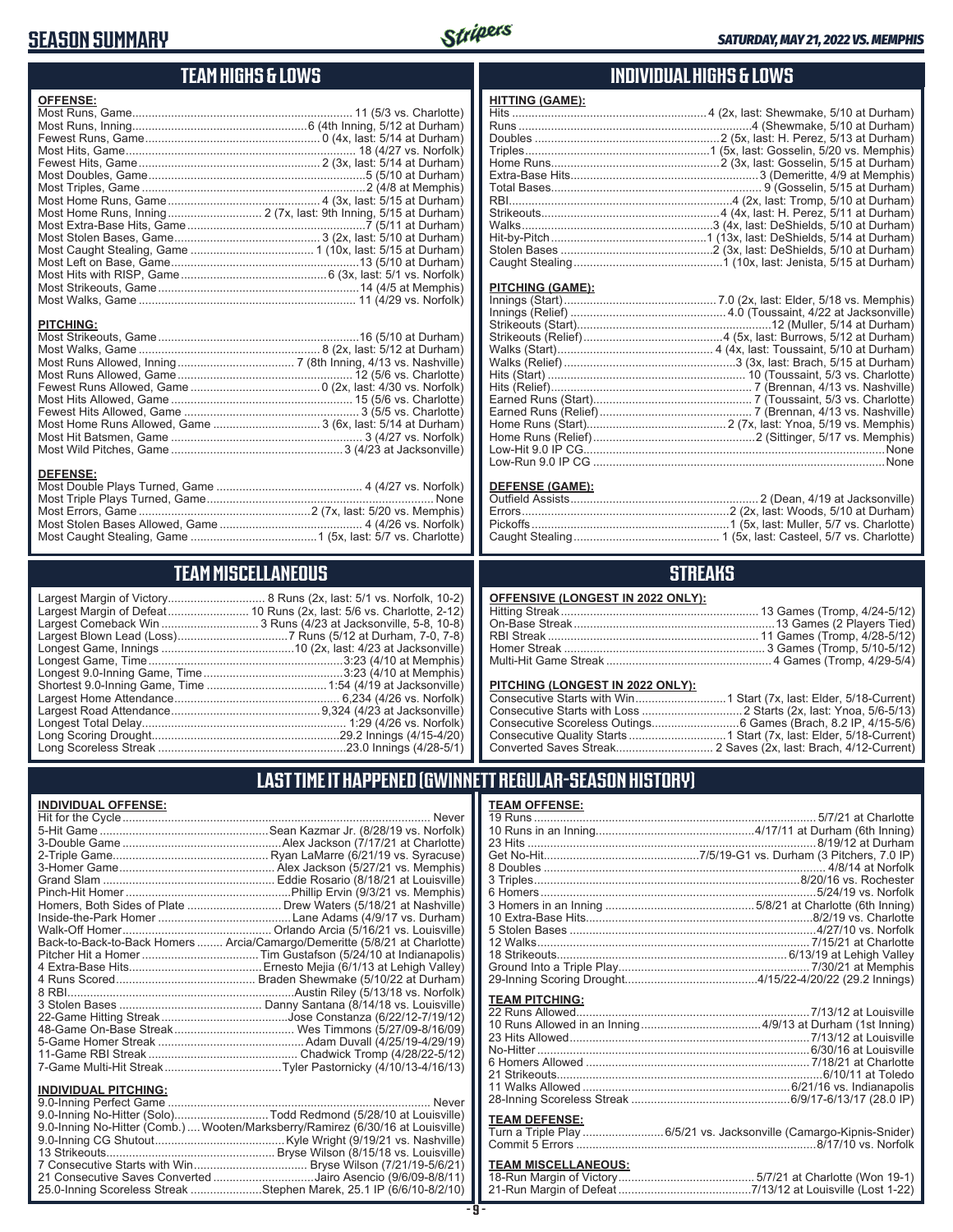### **SEASON SUMMARY**



### **TEAM HIGHS & LOWS**

| <b>OFFENSE:</b>  |  |
|------------------|--|
|                  |  |
|                  |  |
|                  |  |
|                  |  |
|                  |  |
|                  |  |
|                  |  |
|                  |  |
|                  |  |
|                  |  |
|                  |  |
|                  |  |
|                  |  |
|                  |  |
|                  |  |
|                  |  |
|                  |  |
| <b>PITCHING:</b> |  |
|                  |  |
|                  |  |

Most Runs Allowed, Inning .................................... 7 (8th Inning, 4/13 vs. Nashville) Most Runs Allowed, Game ...................................................... 12 (5/6 vs. Charlotte) Fewest Runs Allowed, Game ........................................0 (2x, last: 4/30 vs. Norfolk) Most Hits Allowed, Game ........................................................ 15 (5/6 vs. Charlotte) Fewest Hits Allowed, Game ...................................................... 3 (5/5 vs. Charlotte) Most Home Runs Allowed, Game ................................. 3 (6x, last: 5/14 at Durham) Most Hit Batsmen, Game ........................................................... 3 (4/27 vs. Norfolk) Most Wild Pitches, Game .....................................................3 (4/23 at Jacksonville)

**DEFENSE:** Most Double Plays Turned, Game ............................................. 4 (4/27 vs. Norfolk) Most Triple Plays Turned, Game ...................................................................... None Most Errors, Game .....................................................2 (7x, last: 5/20 vs. Memphis) Most Stolen Bases Allowed, Game ............................................ 4 (4/26 vs. Norfolk) Most Caught Stealing, Game .......................................1 (5x, last: 5/7 vs. Charlotte)

#### **INDIVIDUAL HIGHS & LOWS**

#### **PITCHING (GAME):**

**HITTING (GAME):**

| . None |
|--------|
|        |
|        |

#### **DEFENSE (GAME):**

### **STREAKS**

| <b>OFFENSIVE (LONGEST IN 2022 ONLY):</b> |  |
|------------------------------------------|--|
|                                          |  |

#### **PITCHING (LONGEST IN 2022 ONLY):**

### **LAST TIME IT HAPPENED (GWINNETT REGULAR-SEASON HISTORY)**

#### **TEAM OFFENSE:**

| <b>TEAM PITCHING:</b> |                                                                    |
|-----------------------|--------------------------------------------------------------------|
|                       |                                                                    |
|                       |                                                                    |
|                       |                                                                    |
|                       |                                                                    |
|                       |                                                                    |
|                       |                                                                    |
|                       |                                                                    |
|                       |                                                                    |
| <b>TEAM DEFENSE:</b>  |                                                                    |
|                       | Turn a Triple Play 6/5/21 vs. Jacksonville (Camargo-Kipnis-Snider) |
|                       |                                                                    |

### **TEAM MISCELLANEOUS:**<br>18-Run Margin of Victory...

| 21-Run Margin of Defeat…………………………………7/13/12 at Louisville (Lost 1-22) |  |
|-----------------------------------------------------------------------|--|

|  |  |  |  |  | TEAM MISCELLANEOUS |  |
|--|--|--|--|--|--------------------|--|
|  |  |  |  |  |                    |  |

Largest Margin of Victory.............................. 8 Runs (2x, last: 5/1 vs. Norfolk, 10-2)

Largest Margin of Defeat......................... 10 Runs (2x, last: 5/6 vs. Charlotte, 2-12) Largest Comeback Win ................................. 3 Runs (4/23 at Jacksonville, 5-8, 10-8) Largest Blown Lead (Loss) ..................................7 Runs (5/12 at Durham, 7-0, 7-8) Longest Game, Innings .........................................10 (2x, last: 4/23 at Jacksonville) Longest Game, Time ............................................................3:23 (4/10 at Memphis) Longest 9.0-Inning Game, Time ...........................................3:23 (4/10 at Memphis) Shortest 9.0-Inning Game, Time .....................................1:54 (4/19 at Jacksonville) Largest Home Attendance ................................................... 6,234 (4/26 vs. Norfolk) Largest Road Attendance ..............................................9,324 (4/23 at Jacksonville) Longest Total Delay............................................................... 1:29 (4/26 vs. Norfolk) Long Scoring Drought..........................................................29.2 Innings (4/15-4/20) Long Scoreless Streak ..........................................................23.0 Innings (4/28-5/1)

#### **INDIVIDUAL OFFENSE:**

| Never                                                                      |
|----------------------------------------------------------------------------|
|                                                                            |
|                                                                            |
|                                                                            |
|                                                                            |
|                                                                            |
|                                                                            |
| Homers, Both Sides of Plate  Drew Waters (5/18/21 at Nashville)            |
|                                                                            |
|                                                                            |
| Back-to-Back-to-Back Homers  Arcia/Camargo/Demeritte (5/8/21 at Charlotte) |
|                                                                            |
|                                                                            |
|                                                                            |
|                                                                            |
|                                                                            |
|                                                                            |
|                                                                            |
|                                                                            |
|                                                                            |
|                                                                            |
|                                                                            |

#### **INDIVIDUAL PITCHING:**

| 9.0-Inning No-Hitter (Solo)Todd Redmond (5/28/10 at Louisville)                |
|--------------------------------------------------------------------------------|
| 9.0-Inning No-Hitter (Comb.) Wooten/Marksberry/Ramirez (6/30/16 at Louisville) |
|                                                                                |
|                                                                                |
|                                                                                |
| 21 Consecutive Saves Converted Jairo Asencio (9/6/09-8/8/11)                   |
| 25.0-Inning Scoreless Streak Stephen Marek, 25.1 IP (6/6/10-8/2/10)            |